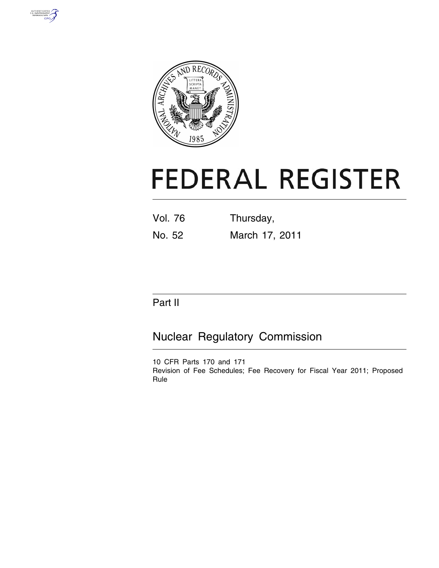



# **FEDERAL REGISTER**

| <b>Vol. 76</b> | Thursday,      |
|----------------|----------------|
| No. 52         | March 17, 2011 |

# Part II

# Nuclear Regulatory Commission

10 CFR Parts 170 and 171 Revision of Fee Schedules; Fee Recovery for Fiscal Year 2011; Proposed Rule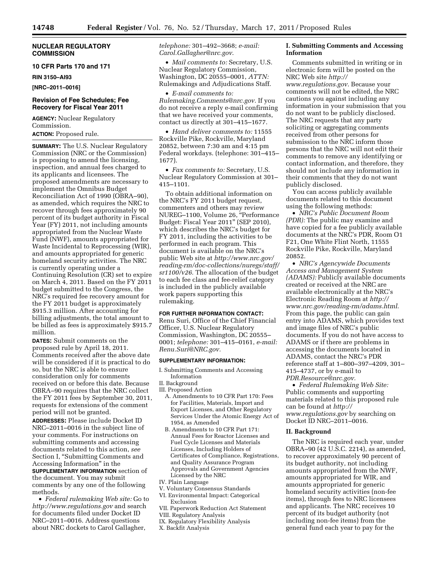#### **NUCLEAR REGULATORY COMMISSION**

#### **10 CFR Parts 170 and 171**

**RIN 3150–AI93** 

**[NRC–2011–0016]** 

#### **Revision of Fee Schedules; Fee Recovery for Fiscal Year 2011**

**AGENCY:** Nuclear Regulatory Commission. **ACTION:** Proposed rule.

**SUMMARY:** The U.S. Nuclear Regulatory Commission (NRC or the Commission) is proposing to amend the licensing, inspection, and annual fees charged to its applicants and licensees. The proposed amendments are necessary to implement the Omnibus Budget Reconciliation Act of 1990 (OBRA–90), as amended, which requires the NRC to recover through fees approximately 90 percent of its budget authority in Fiscal Year (FY) 2011, not including amounts appropriated from the Nuclear Waste Fund (NWF), amounts appropriated for Waste Incidental to Reprocessing (WIR), and amounts appropriated for generic homeland security activities. The NRC is currently operating under a Continuing Resolution (CR) set to expire on March 4, 2011. Based on the FY 2011 budget submitted to the Congress, the NRC's required fee recovery amount for the FY 2011 budget is approximately \$915.3 million. After accounting for billing adjustments, the total amount to be billed as fees is approximately \$915.7 million.

**DATES:** Submit comments on the proposed rule by April 18, 2011. Comments received after the above date will be considered if it is practical to do so, but the NRC is able to ensure consideration only for comments received on or before this date. Because OBRA–90 requires that the NRC collect the FY 2011 fees by September 30, 2011, requests for extensions of the comment period will not be granted.

**ADDRESSES:** Please include Docket ID NRC–2011–0016 in the subject line of your comments. For instructions on submitting comments and accessing documents related to this action, *see*  Section I, "Submitting Comments and Accessing Information'' in the

**SUPPLEMENTARY INFORMATION** section of the document. You may submit comments by any one of the following methods.

• *Federal rulemaking Web site:* Go to *<http://www.regulations.gov>* and search for documents filed under Docket ID NRC–2011–0016. Address questions about NRC dockets to Carol Gallagher,

*telephone:* 301–492–3668; *e-mail: [Carol.Gallagher@nrc.gov](mailto:Carol.Gallagher@nrc.gov)*.

• *Mail comments to:* Secretary, U.S. Nuclear Regulatory Commission, Washington, DC 20555–0001, *ATTN:*  Rulemakings and Adjudications Staff.

• *E-mail comments to: [Rulemaking.Comments@nrc.gov.](mailto:Rulemaking.Comments@nrc.gov)* If you do not receive a reply e-mail confirming that we have received your comments, contact us directly at 301–415–1677.

• *Hand deliver comments to:* 11555 Rockville Pike, Rockville, Maryland 20852, between 7:30 am and 4:15 pm Federal workdays. (telephone: 301–415– 1677).

• *Fax comments to:* Secretary, U.S. Nuclear Regulatory Commission at 301– 415–1101.

To obtain additional information on the NRC's FY 2011 budget request, commenters and others may review NUREG-1100, Volume 26, "Performance Budget: Fiscal Year 2011'' (SEP 2010), which describes the NRC's budget for FY 2011, including the activities to be performed in each program. This document is available on the NRC's public Web site at *[http://www.nrc.gov/](http://www.nrc.gov/reading-rm/doc-collections/nuregs/staff/sr1100/v26)  [reading-rm/doc-collections/nuregs/staff/](http://www.nrc.gov/reading-rm/doc-collections/nuregs/staff/sr1100/v26)  [sr1100/v26.](http://www.nrc.gov/reading-rm/doc-collections/nuregs/staff/sr1100/v26)* The allocation of the budget to each fee class and fee-relief category is included in the publicly available work papers supporting this rulemaking.

#### **FOR FURTHER INFORMATION CONTACT:**

Renu Suri, Office of the Chief Financial Officer, U.S. Nuclear Regulatory Commission, Washington, DC 20555– 0001; *telephone:* 301–415–0161, *e-mail: [Renu.Suri@NRC.gov.](mailto:Renu.Suri@NRC.gov)* 

#### **SUPPLEMENTARY INFORMATION:**

- I. Submitting Comments and Accessing Information
- II. Background
- III. Proposed Action
	- A. Amendments to 10 CFR Part 170: Fees for Facilities, Materials, Import and Export Licenses, and Other Regulatory Services Under the Atomic Energy Act of 1954, as Amended
	- B. Amendments to 10 CFR Part 171: Annual Fees for Reactor Licenses and Fuel Cycle Licenses and Materials Licenses, Including Holders of Certificates of Compliance, Registrations, and Quality Assurance Program Approvals and Government Agencies Licensed by the NRC
- IV. Plain Language
- V. Voluntary Consensus Standards
- VI. Environmental Impact: Categorical Exclusion
- VII. Paperwork Reduction Act Statement
- VIII. Regulatory Analysis
- IX. Regulatory Flexibility Analysis
- X. Backfit Analysis

#### **I. Submitting Comments and Accessing Information**

Comments submitted in writing or in electronic form will be posted on the NRC Web site *[http://](http://www.regulations.gov)  [www.regulations.gov](http://www.regulations.gov)*. Because your comments will not be edited, the NRC cautions you against including any information in your submission that you do not want to be publicly disclosed. The NRC requests that any party soliciting or aggregating comments received from other persons for submission to the NRC inform those persons that the NRC will not edit their comments to remove any identifying or contact information, and therefore, they should not include any information in their comments that they do not want publicly disclosed.

You can access publicly available documents related to this document using the following methods:

• *NRC's Public Document Room (PDR):* The public may examine and have copied for a fee publicly available documents at the NRC's PDR, Room O1 F21, One White Flint North, 11555 Rockville Pike, Rockville, Maryland 20852.

• *NRC's Agencywide Documents Access and Management System (ADAMS):* Publicly available documents created or received at the NRC are available electronically at the NRC's Electronic Reading Room at *[http://](http://www.nrc.gov/reading-rm/adams.html) [www.nrc.gov/reading-rm/adams.html](http://www.nrc.gov/reading-rm/adams.html)*. From this page, the public can gain entry into ADAMS, which provides text and image files of NRC's public documents. If you do not have access to ADAMS or if there are problems in accessing the documents located in ADAMS, contact the NRC's PDR reference staff at 1–800–397–4209, 301– 415–4737, or by e-mail to *[PDR.Resource@nrc.gov.](mailto:PDR.Resource@nrc.gov)* 

• *Federal Rulemaking Web Site:*  Public comments and supporting materials related to this proposed rule can be found at *[http://](http://www.regulations.gov) [www.regulations.gov](http://www.regulations.gov)* by searching on Docket ID NRC–2011–0016.

#### **II. Background**

The NRC is required each year, under OBRA–90 (42 U.S.C. 2214), as amended, to recover approximately 90 percent of its budget authority, not including amounts appropriated from the NWF, amounts appropriated for WIR, and amounts appropriated for generic homeland security activities (non-fee items), through fees to NRC licensees and applicants. The NRC receives 10 percent of its budget authority (not including non-fee items) from the general fund each year to pay for the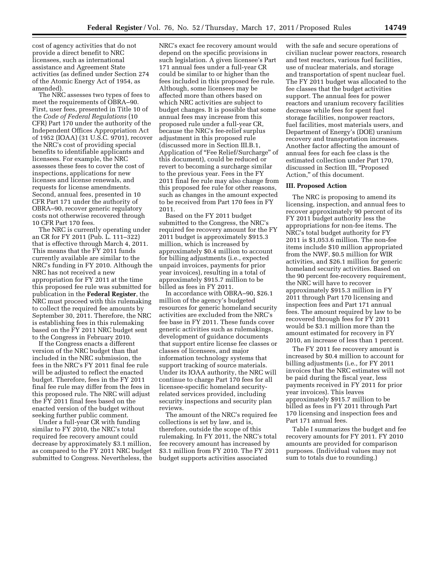cost of agency activities that do not provide a direct benefit to NRC licensees, such as international assistance and Agreement State activities (as defined under Section 274 of the Atomic Energy Act of 1954, as amended).

The NRC assesses two types of fees to meet the requirements of OBRA–90. First, user fees, presented in Title 10 of the *Code of Federal Regulations* (10 CFR) Part 170 under the authority of the Independent Offices Appropriation Act of 1952 (IOAA) (31 U.S.C. 9701), recover the NRC's cost of providing special benefits to identifiable applicants and licensees. For example, the NRC assesses these fees to cover the cost of inspections, applications for new licenses and license renewals, and requests for license amendments. Second, annual fees, presented in 10 CFR Part 171 under the authority of OBRA–90, recover generic regulatory costs not otherwise recovered through 10 CFR Part 170 fees.

The NRC is currently operating under an CR for FY 2011 (Pub. L. 111–322) that is effective through March 4, 2011. This means that the FY 2011 funds currently available are similar to the NRC's funding in FY 2010. Although the NRC has not received a new appropriation for FY 2011 at the time this proposed fee rule was submitted for publication in the **Federal Register**, the NRC must proceed with this rulemaking to collect the required fee amounts by September 30, 2011. Therefore, the NRC is establishing fees in this rulemaking based on the FY 2011 NRC budget sent to the Congress in February 2010.

If the Congress enacts a different version of the NRC budget than that included in the NRC submission, the fees in the NRC's FY 2011 final fee rule will be adjusted to reflect the enacted budget. Therefore, fees in the FY 2011 final fee rule may differ from the fees in this proposed rule. The NRC will adjust the FY 2011 final fees based on the enacted version of the budget without seeking further public comment.

Under a full-year CR with funding similar to FY 2010, the NRC's total required fee recovery amount could decrease by approximately \$3.1 million, as compared to the FY 2011 NRC budget submitted to Congress. Nevertheless, the

NRC's exact fee recovery amount would depend on the specific provisions in such legislation. A given licensee's Part 171 annual fees under a full-year CR could be similar to or higher than the fees included in this proposed fee rule. Although, some licensees may be affected more than others based on which NRC activities are subject to budget changes. It is possible that some annual fees may increase from this proposed rule under a full-year CR, because the NRC's fee-relief surplus adjustment in this proposed rule (discussed more in Section III.B.1, Application of ''Fee Relief/Surcharge'' of this document), could be reduced or revert to becoming a surcharge similar to the previous year. Fees in the FY 2011 final fee rule may also change from this proposed fee rule for other reasons, such as changes in the amount expected to be received from Part 170 fees in FY 2011.

Based on the FY 2011 budget submitted to the Congress, the NRC's required fee recovery amount for the FY 2011 budget is approximately \$915.3 million, which is increased by approximately \$0.4 million to account for billing adjustments (i.e., expected unpaid invoices, payments for prior year invoices), resulting in a total of approximately \$915.7 million to be billed as fees in FY 2011.

In accordance with OBRA–90, \$26.1 million of the agency's budgeted resources for generic homeland security activities are excluded from the NRC's fee base in FY 2011. These funds cover generic activities such as rulemakings, development of guidance documents that support entire license fee classes or classes of licensees, and major information technology systems that support tracking of source materials. Under its IOAA authority, the NRC will continue to charge Part 170 fees for all licensee-specific homeland securityrelated services provided, including security inspections and security plan reviews.

The amount of the NRC's required fee collections is set by law, and is, therefore, outside the scope of this rulemaking. In FY 2011, the NRC's total fee recovery amount has increased by \$3.1 million from FY 2010. The FY 2011 budget supports activities associated

with the safe and secure operations of civilian nuclear power reactors, research and test reactors, various fuel facilities, use of nuclear materials, and storage and transportation of spent nuclear fuel. The FY 2011 budget was allocated to the fee classes that the budget activities support. The annual fees for power reactors and uranium recovery facilities decrease while fees for spent fuel storage facilities, nonpower reactors, fuel facilities, most materials users, and Department of Energy's (DOE) uranium recovery and transportation increases. Another factor affecting the amount of annual fees for each fee class is the estimated collection under Part 170, discussed in Section III, ''Proposed Action,'' of this document.

#### **III. Proposed Action**

The NRC is proposing to amend its licensing, inspection, and annual fees to recover approximately 90 percent of its FY 2011 budget authority less the appropriations for non-fee items. The NRC's total budget authority for FY 2011 is \$1,053.6 million. The non-fee items include \$10 million appropriated from the NWF, \$0.5 million for WIR activities, and \$26.1 million for generic homeland security activities. Based on the 90 percent fee-recovery requirement, the NRC will have to recover approximately \$915.3 million in FY 2011 through Part 170 licensing and inspection fees and Part 171 annual fees. The amount required by law to be recovered through fees for FY 2011 would be \$3.1 million more than the amount estimated for recovery in FY 2010, an increase of less than 1 percent.

The FY 2011 fee recovery amount is increased by \$0.4 million to account for billing adjustments (i.e., for FY 2011 invoices that the NRC estimates will not be paid during the fiscal year, less payments received in FY 2011 for prior year invoices). This leaves approximately \$915.7 million to be billed as fees in FY 2011 through Part 170 licensing and inspection fees and Part 171 annual fees.

Table I summarizes the budget and fee recovery amounts for FY 2011. FY 2010 amounts are provided for comparison purposes. (Individual values may not sum to totals due to rounding.)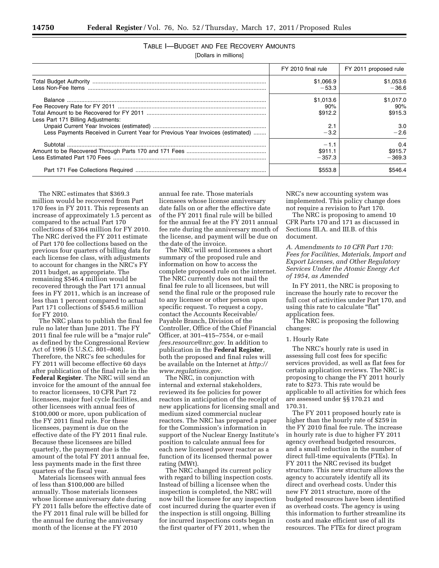# TABLE I—BUDGET AND FEE RECOVERY AMOUNTS

[Dollars in millions]

|                                                                                                                     | FY 2010 final rule                           | FY 2011 proposed rule                        |
|---------------------------------------------------------------------------------------------------------------------|----------------------------------------------|----------------------------------------------|
|                                                                                                                     | \$1,066.9<br>$-53.3$                         | \$1,053.6<br>$-36.6$                         |
| Less Part 171 Billing Adjustments:<br>Less Payments Received in Current Year for Previous Year Invoices (estimated) | \$1,013.6<br>90%<br>\$912.2<br>2.1<br>$-3.2$ | \$1.017.0<br>90%<br>\$915.3<br>3.0<br>$-2.6$ |
|                                                                                                                     | $-1.1$<br>\$911.1<br>$-357.3$<br>\$553.8     | 0.4<br>\$915.7<br>$-369.3$<br>\$546.4        |

The NRC estimates that \$369.3 million would be recovered from Part 170 fees in FY 2011. This represents an increase of approximately 1.5 percent as compared to the actual Part 170 collections of \$364 million for FY 2010. The NRC derived the FY 2011 estimate of Part 170 fee collections based on the previous four quarters of billing data for each license fee class, with adjustments to account for changes in the NRC's FY 2011 budget, as appropriate. The remaining \$546.4 million would be recovered through the Part 171 annual fees in FY 2011, which is an increase of less than 1 percent compared to actual Part 171 collections of \$545.6 million for FY 2010.

The NRC plans to publish the final fee rule no later than June 2011. The FY 2011 final fee rule will be a ''major rule'' as defined by the Congressional Review Act of 1996 (5 U.S.C. 801–808). Therefore, the NRC's fee schedules for FY 2011 will become effective 60 days after publication of the final rule in the **Federal Register**. The NRC will send an invoice for the amount of the annual fee to reactor licensees, 10 CFR Part 72 licensees, major fuel cycle facilities, and other licensees with annual fees of \$100,000 or more, upon publication of the FY 2011 final rule. For these licensees, payment is due on the effective date of the FY 2011 final rule. Because these licensees are billed quarterly, the payment due is the amount of the total FY 2011 annual fee, less payments made in the first three quarters of the fiscal year.

Materials licensees with annual fees of less than \$100,000 are billed annually. Those materials licensees whose license anniversary date during FY 2011 falls before the effective date of the FY 2011 final rule will be billed for the annual fee during the anniversary month of the license at the FY 2010

annual fee rate. Those materials licensees whose license anniversary date falls on or after the effective date of the FY 2011 final rule will be billed for the annual fee at the FY 2011 annual fee rate during the anniversary month of the license, and payment will be due on the date of the invoice.

The NRC will send licensees a short summary of the proposed rule and information on how to access the complete proposed rule on the internet. The NRC currently does not mail the final fee rule to all licensees, but will send the final rule or the proposed rule to any licensee or other person upon specific request. To request a copy, contact the Accounts Receivable/ Payable Branch, Division of the Controller, Office of the Chief Financial Officer, at 301–415–7554, or e-mail *[fees.resource@nrc.gov.](mailto:fees.resource@nrc.gov)* In addition to publication in the **Federal Register**, both the proposed and final rules will be available on the Internet at *[http://](http://www.regulations.gov) [www.regulations.go](http://www.regulations.gov)*v.

The NRC, in conjunction with internal and external stakeholders, reviewed its fee policies for power reactors in anticipation of the receipt of new applications for licensing small and medium sized commercial nuclear reactors. The NRC has prepared a paper for the Commission's information in support of the Nuclear Energy Institute's position to calculate annual fees for each new licensed power reactor as a function of its licensed thermal power rating (MWt).

The NRC changed its current policy with regard to billing inspection costs. Instead of billing a licensee when the inspection is completed, the NRC will now bill the licensee for any inspection cost incurred during the quarter even if the inspection is still ongoing. Billing for incurred inspections costs began in the first quarter of FY 2011, when the

NRC's new accounting system was implemented. This policy change does not require a revision to Part 170.

The NRC is proposing to amend 10 CFR Parts 170 and 171 as discussed in Sections III.A. and III.B. of this document.

*A. Amendments to 10 CFR Part 170: Fees for Facilities, Materials, Import and Export Licenses, and Other Regulatory Services Under the Atomic Energy Act of 1954, as Amended* 

In FY 2011, the NRC is proposing to increase the hourly rate to recover the full cost of activities under Part 170, and using this rate to calculate "flat" application fees.

The NRC is proposing the following changes:

#### 1. Hourly Rate

The NRC's hourly rate is used in assessing full cost fees for specific services provided, as well as flat fees for certain application reviews. The NRC is proposing to change the FY 2011 hourly rate to \$273. This rate would be applicable to all activities for which fees are assessed under §§ 170.21 and 170.31.

The FY 2011 proposed hourly rate is higher than the hourly rate of \$259 in the FY 2010 final fee rule. The increase in hourly rate is due to higher FY 2011 agency overhead budgeted resources, and a small reduction in the number of direct full-time equivalents (FTEs). In FY 2011 the NRC revised its budget structure. This new structure allows the agency to accurately identify all its direct and overhead costs. Under this new FY 2011 structure, more of the budgeted resources have been identified as overhead costs. The agency is using this information to further streamline its costs and make efficient use of all its resources. The FTEs for direct program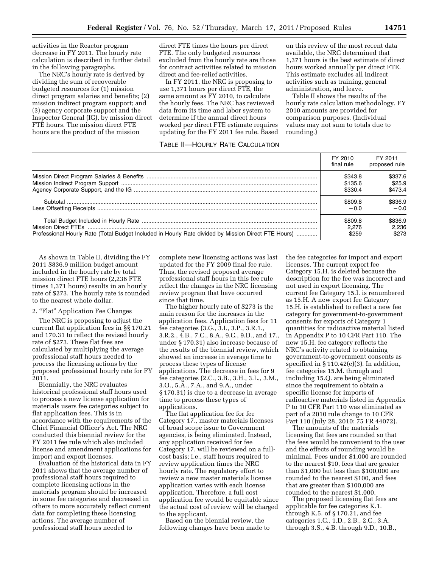activities in the Reactor program decrease in FY 2011. The hourly rate calculation is described in further detail in the following paragraphs.

The NRC's hourly rate is derived by dividing the sum of recoverable budgeted resources for (1) mission direct program salaries and benefits; (2) mission indirect program support; and (3) agency corporate support and the Inspector General (IG), by mission direct FTE hours. The mission direct FTE hours are the product of the mission

direct FTE times the hours per direct FTE. The only budgeted resources excluded from the hourly rate are those for contract activities related to mission direct and fee-relief activities.

In FY 2011, the NRC is proposing to use 1,371 hours per direct FTE, the same amount as FY 2010, to calculate the hourly fees. The NRC has reviewed data from its time and labor system to determine if the annual direct hours worked per direct FTE estimate requires updating for the FY 2011 fee rule. Based

#### TABLE II—HOURLY RATE CALCULATION

on this review of the most recent data available, the NRC determined that 1,371 hours is the best estimate of direct hours worked annually per direct FTE. This estimate excludes all indirect activities such as training, general administration, and leave.

Table II shows the results of the hourly rate calculation methodology. FY 2010 amounts are provided for comparison purposes. (Individual values may not sum to totals due to rounding.)

|                                                                                                     | FY 2010<br>final rule | FY 2011<br>proposed rule |
|-----------------------------------------------------------------------------------------------------|-----------------------|--------------------------|
|                                                                                                     | \$343.8               | \$337.6                  |
|                                                                                                     | \$135.6               | \$25.9                   |
|                                                                                                     | \$330.4               | \$473.4                  |
|                                                                                                     | \$809.8               | \$836.9                  |
|                                                                                                     | $-0.0$                | $-0.0$                   |
|                                                                                                     | \$809.8               | \$836.9                  |
|                                                                                                     | 2.276                 | 2.236                    |
| Professional Hourly Rate (Total Budget Included in Hourly Rate divided by Mission Direct FTE Hours) | \$259                 | \$273                    |

As shown in Table II, dividing the FY 2011 \$836.9 million budget amount included in the hourly rate by total mission direct FTE hours (2,236 FTE times 1,371 hours) results in an hourly rate of \$273. The hourly rate is rounded to the nearest whole dollar.

#### 2. "Flat" Application Fee Changes

The NRC is proposing to adjust the current flat application fees in §§ 170.21 and 170.31 to reflect the revised hourly rate of \$273. These flat fees are calculated by multiplying the average professional staff hours needed to process the licensing actions by the proposed professional hourly rate for FY 2011.

Biennially, the NRC evaluates historical professional staff hours used to process a new license application for materials users fee categories subject to flat application fees. This is in accordance with the requirements of the Chief Financial Officer's Act. The NRC conducted this biennial review for the FY 2011 fee rule which also included license and amendment applications for import and export licenses.

Evaluation of the historical data in FY 2011 shows that the average number of professional staff hours required to complete licensing actions in the materials program should be increased in some fee categories and decreased in others to more accurately reflect current data for completing these licensing actions. The average number of professional staff hours needed to

complete new licensing actions was last updated for the FY 2009 final fee rule. Thus, the revised proposed average professional staff hours in this fee rule reflect the changes in the NRC licensing review program that have occurred since that time.

The higher hourly rate of \$273 is the main reason for the increases in the application fees. Application fees for 11 fee categories (3.G., 3.I., 3.P., 3.R.1., 3.R.2., 4.B., 7.C., 8.A., 9.C., 9.D., and 17., under § 170.31) also increase because of the results of the biennial review, which showed an increase in average time to process these types of license applications. The decrease in fees for 9 fee categories (2.C., 3.B., 3.H., 3.L., 3.M., 3.O., 5.A., 7.A., and 9.A., under § 170.31) is due to a decrease in average time to process these types of applications.

The flat application fee for fee Category 17., master materials licenses of broad scope issue to Government agencies, is being eliminated. Instead, any application received for fee Category 17. will be reviewed on a fullcost basis; i.e., staff hours required to review application times the NRC hourly rate. The regulatory effort to review a new master materials license application varies with each license application. Therefore, a full cost application fee would be equitable since the actual cost of review will be charged to the applicant.

Based on the biennial review, the following changes have been made to the fee categories for import and export licenses. The current export fee Category 15.H. is deleted because the description for the fee was incorrect and not used in export licensing. The current fee Category 15.I. is renumbered as 15.H. A new export fee Category 15.H. is established to reflect a new fee category for government-to-government consents for exports of Category 1 quantities for radioactive material listed in Appendix P to 10 CFR Part 110. The new 15.H. fee category reflects the NRC's activity related to obtaining government-to-government consents as specified in § 110.42(e)(3). In addition, fee categories 15.M. through and including 15.Q. are being eliminated since the requirement to obtain a specific license for imports of radioactive materials listed in Appendix P to 10 CFR Part 110 was eliminated as part of a 2010 rule change to 10 CFR Part 110 (July 28, 2010; 75 FR 44072).

The amounts of the materials licensing flat fees are rounded so that the fees would be convenient to the user and the effects of rounding would be minimal. Fees under \$1,000 are rounded to the nearest \$10, fees that are greater than \$1,000 but less than \$100,000 are rounded to the nearest \$100, and fees that are greater than \$100,000 are rounded to the nearest \$1,000.

The proposed licensing flat fees are applicable for fee categories K.1. through K.5. of § 170.21, and fee categories 1.C., 1.D., 2.B., 2.C., 3.A. through 3.S., 4.B. through 9.D., 10.B.,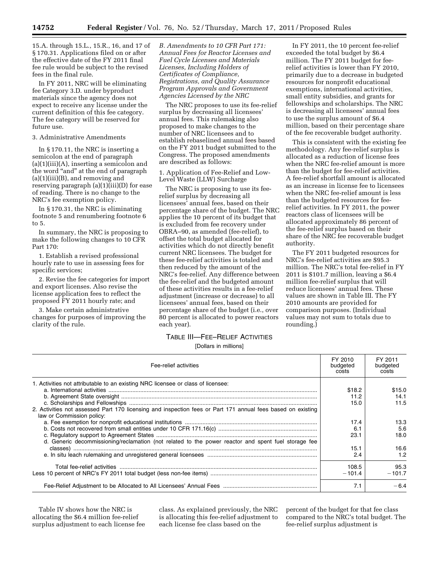15.A. through 15.L., 15.R., 16, and 17 of § 170.31. Applications filed on or after the effective date of the FY 2011 final fee rule would be subject to the revised fees in the final rule.

In FY 2011, NRC will be eliminating fee Category 3.D. under byproduct materials since the agency does not expect to receive any license under the current definition of this fee category. The fee category will be reserved for future use.

#### 3. Administrative Amendments

In § 170.11, the NRC is inserting a semicolon at the end of paragraph  $(a)(1)(iii)(A)$ , inserting a semicolon and the word "and" at the end of paragraph (a)(1)(iii)(B), and removing and reserving paragraph (a)(1)(iii)(D) for ease of reading. There is no change to the NRC's fee exemption policy.

In § 170.31, the NRC is eliminating footnote 5 and renumbering footnote 6 to 5.

In summary, the NRC is proposing to make the following changes to 10 CFR Part 170:

1. Establish a revised professional hourly rate to use in assessing fees for specific services;

2. Revise the fee categories for import and export licenses. Also revise the license application fees to reflect the proposed FY 2011 hourly rate; and

3. Make certain administrative changes for purposes of improving the clarity of the rule.

*B. Amendments to 10 CFR Part 171: Annual Fees for Reactor Licenses and Fuel Cycle Licenses and Materials Licenses, Including Holders of Certificates of Compliance, Registrations, and Quality Assurance Program Approvals and Government Agencies Licensed by the NRC* 

The NRC proposes to use its fee-relief surplus by decreasing all licensees' annual fees. This rulemaking also proposed to make changes to the number of NRC licensees and to establish rebaselined annual fees based on the FY 2011 budget submitted to the Congress. The proposed amendments are described as follows:

1. Application of Fee-Relief and Low-Level Waste (LLW) Surcharge

The NRC is proposing to use its feerelief surplus by decreasing all licensees' annual fees, based on their percentage share of the budget. The NRC applies the 10 percent of its budget that is excluded from fee recovery under OBRA–90, as amended (fee-relief), to offset the total budget allocated for activities which do not directly benefit current NRC licensees. The budget for these fee-relief activities is totaled and then reduced by the amount of the NRC's fee-relief. Any difference between the fee-relief and the budgeted amount of these activities results in a fee-relief adjustment (increase or decrease) to all licensees' annual fees, based on their percentage share of the budget (i.e., over 80 percent is allocated to power reactors each year).

In FY 2011, the 10 percent fee-relief exceeded the total budget by \$6.4 million. The FY 2011 budget for feerelief activities is lower than FY 2010, primarily due to a decrease in budgeted resources for nonprofit educational exemptions, international activities, small entity subsidies, and grants for fellowships and scholarships. The NRC is decreasing all licensees' annual fees to use the surplus amount of \$6.4 million, based on their percentage share of the fee recoverable budget authority.

This is consistent with the existing fee methodology. Any fee-relief surplus is allocated as a reduction of license fees when the NRC fee-relief amount is more than the budget for fee-relief activities. A fee-relief shortfall amount is allocated as an increase in license fee to licensees when the NRC fee-relief amount is less than the budgeted resources for feerelief activities. In FY 2011, the power reactors class of licensees will be allocated approximately 86 percent of the fee-relief surplus based on their share of the NRC fee recoverable budget authority.

The FY 2011 budgeted resources for NRC's fee-relief activities are \$95.3 million. The NRC's total fee-relief in FY 2011 is \$101.7 million, leaving a \$6.4 million fee-relief surplus that will reduce licensees' annual fees. These values are shown in Table III. The FY 2010 amounts are provided for comparison purposes. (Individual values may not sum to totals due to rounding.)

## TABLE III—FEE–RELIEF ACTIVITIES

[Dollars in millions]

| Fee-relief activities                                                                                                                    |          | FY 2011<br>budgeted<br>costs |
|------------------------------------------------------------------------------------------------------------------------------------------|----------|------------------------------|
| 1. Activities not attributable to an existing NRC licensee or class of licensee:                                                         |          |                              |
|                                                                                                                                          | \$18.2   | \$15.0                       |
|                                                                                                                                          | 11.2     | 14.1                         |
|                                                                                                                                          | 15.0     | 11.5                         |
| 2. Activities not assessed Part 170 licensing and inspection fees or Part 171 annual fees based on existing<br>law or Commission policy: |          |                              |
|                                                                                                                                          | 17.4     | 13.3                         |
|                                                                                                                                          | 6.1      | 5.6                          |
|                                                                                                                                          | 23.1     | 18.0                         |
| d. Generic decommissioning/reclamation (not related to the power reactor and spent fuel storage fee                                      |          |                              |
|                                                                                                                                          | 15.1     | 16.6                         |
|                                                                                                                                          | 2.4      | 1.2                          |
|                                                                                                                                          | 108.5    | 95.3                         |
|                                                                                                                                          | $-101.4$ | $-101.7$                     |
|                                                                                                                                          | 7.1      | $-6.4$                       |

Table IV shows how the NRC is allocating the \$6.4 million fee-relief surplus adjustment to each license fee class. As explained previously, the NRC is allocating this fee-relief adjustment to each license fee class based on the

percent of the budget for that fee class compared to the NRC's total budget. The fee-relief surplus adjustment is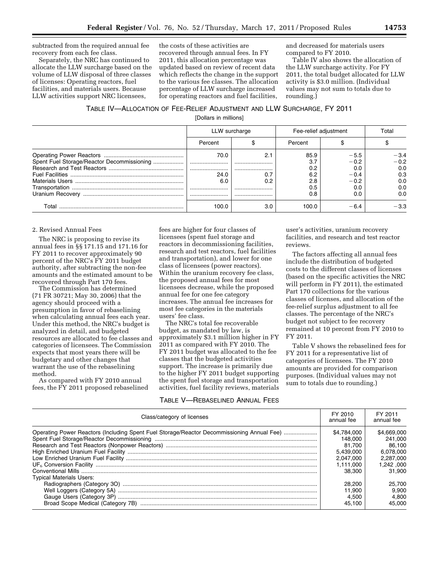subtracted from the required annual fee recovery from each fee class.

Separately, the NRC has continued to allocate the LLW surcharge based on the volume of LLW disposal of three classes of licenses: Operating reactors, fuel facilities, and materials users. Because LLW activities support NRC licensees,

the costs of these activities are recovered through annual fees. In FY 2011, this allocation percentage was updated based on review of recent data which reflects the change in the support to the various fee classes. The allocation percentage of LLW surcharge increased for operating reactors and fuel facilities,

and decreased for materials users compared to FY 2010.

Table IV also shows the allocation of the LLW surcharge activity. For FY 2011, the total budget allocated for LLW activity is \$3.0 million. (Individual values may not sum to totals due to rounding.)

#### TABLE IV—ALLOCATION OF FEE-RELIEF ADJUSTMENT AND LLW SURCHARGE, FY 2011 [Dollars in millions]

|       | LLW surcharge |     | Fee-relief adjustment |        | Total  |  |
|-------|---------------|-----|-----------------------|--------|--------|--|
|       | Percent       |     | Percent               |        |        |  |
|       | 70.0          |     | 85.9                  | $-5.5$ | -3.4   |  |
|       |               |     | 3.7                   | $-0.2$ | $-0.2$ |  |
|       |               |     | 0.2                   | 0.0    | 0.0    |  |
|       | 24.0          |     | 6.2                   | $-0.4$ | 0.3    |  |
|       | 6.0           | 0.2 | 2.8                   | $-0.2$ | 0.0    |  |
|       |               |     | 0.5                   | 0.0    | 0.0    |  |
|       |               |     | 0.8                   | 0.0    | 0.0    |  |
| Total | 100.0         | 3.0 | 100.0                 | $-6.4$ | $-3.3$ |  |

#### 2. Revised Annual Fees

The NRC is proposing to revise its annual fees in §§ 171.15 and 171.16 for FY 2011 to recover approximately 90 percent of the NRC's FY 2011 budget authority, after subtracting the non-fee amounts and the estimated amount to be recovered through Part 170 fees.

The Commission has determined (71 FR 30721; May 30, 2006) that the agency should proceed with a presumption in favor of rebaselining when calculating annual fees each year. Under this method, the NRC's budget is analyzed in detail, and budgeted resources are allocated to fee classes and categories of licensees. The Commission expects that most years there will be budgetary and other changes that warrant the use of the rebaselining method.

As compared with FY 2010 annual fees, the FY 2011 proposed rebaselined fees are higher for four classes of licensees (spent fuel storage and reactors in decommissioning facilities, research and test reactors, fuel facilities and transportation), and lower for one class of licensees (power reactors). Within the uranium recovery fee class, the proposed annual fees for most licensees decrease, while the proposed annual fee for one fee category increases. The annual fee increases for most fee categories in the materials users' fee class.

The NRC's total fee recoverable budget, as mandated by law, is approximately \$3.1 million higher in FY 2011 as compared with FY 2010. The FY 2011 budget was allocated to the fee classes that the budgeted activities support. The increase is primarily due to the higher FY 2011 budget supporting the spent fuel storage and transportation activities, fuel facility reviews, materials

#### TABLE V—REBASELINED ANNUAL FEES

user's activities, uranium recovery facilities, and research and test reactor reviews.

The factors affecting all annual fees include the distribution of budgeted costs to the different classes of licenses (based on the specific activities the NRC will perform in FY 2011), the estimated Part 170 collections for the various classes of licenses, and allocation of the fee-relief surplus adjustment to all fee classes. The percentage of the NRC's budget not subject to fee recovery remained at 10 percent from FY 2010 to FY 2011.

Table V shows the rebaselined fees for FY 2011 for a representative list of categories of licensees. The FY 2010 amounts are provided for comparison purposes. (Individual values may not sum to totals due to rounding.)

| Class/category of licenses                                                                                                    |                                                                                                                          | FY 2011<br>annual fee                                                                                                   |
|-------------------------------------------------------------------------------------------------------------------------------|--------------------------------------------------------------------------------------------------------------------------|-------------------------------------------------------------------------------------------------------------------------|
| Operating Power Reactors (Including Spent Fuel Storage/Reactor Decommissioning Annual Fee)<br><b>Typical Materials Users:</b> | \$4.784.000<br>148.000<br>81.700<br>5.439.000<br>2.047.000<br>1.111.000<br>38,300<br>28,200<br>11.900<br>4.500<br>45.100 | \$4,669,000<br>241.000<br>86.100<br>6.078.000<br>2.287.000<br>1.242.000<br>31.900<br>25.700<br>9.900<br>4.800<br>45.000 |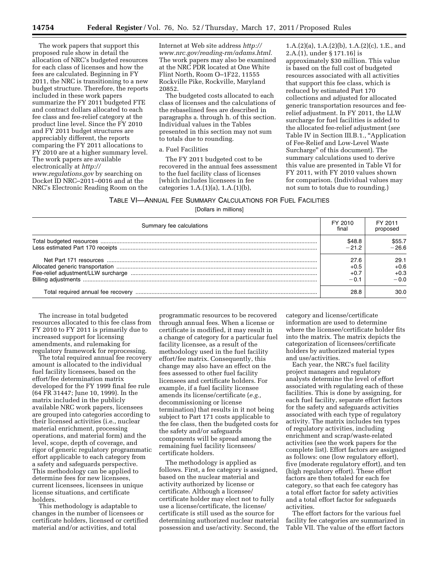The work papers that support this proposed rule show in detail the allocation of NRC's budgeted resources for each class of licenses and how the fees are calculated. Beginning in FY 2011, the NRC is transitioning to a new budget structure. Therefore, the reports included in these work papers summarize the FY 2011 budgeted FTE and contract dollars allocated to each fee class and fee-relief category at the product line level. Since the FY 2010 and FY 2011 budget structures are appreciably different, the reports comparing the FY 2011 allocations to FY 2010 are at a higher summary level. The work papers are available electronically at *[http://](http://www.regulations.gov) [www.regulations.gov](http://www.regulations.gov)* by searching on Docket ID NRC–2011–0016 and at the NRC's Electronic Reading Room on the

Internet at Web site address *[http://](http://www.nrc.gov/reading-rm/adams.html) [www.nrc.gov/reading-rm/adams.html.](http://www.nrc.gov/reading-rm/adams.html)*  The work papers may also be examined at the NRC PDR located at One White Flint North, Room O–1F22, 11555 Rockville Pike, Rockville, Maryland 20852.

The budgeted costs allocated to each class of licenses and the calculations of the rebaselined fees are described in paragraphs a. through h. of this section. Individual values in the Tables presented in this section may not sum to totals due to rounding.

#### a. Fuel Facilities

The FY 2011 budgeted cost to be recovered in the annual fees assessment to the fuel facility class of licenses [which includes licensees in fee categories 1.A.(1)(a), 1.A.(1)(b),

1.A.(2)(a), 1.A.(2)(b), 1.A.(2)(c), 1.E., and 2.A.(1), under § 171.16] is approximately \$30 million. This value is based on the full cost of budgeted resources associated with all activities that support this fee class, which is reduced by estimated Part 170 collections and adjusted for allocated generic transportation resources and feerelief adjustment. In FY 2011, the LLW surcharge for fuel facilities is added to the allocated fee-relief adjustment (*see*  Table IV in Section III.B.1., "Application of Fee-Relief and Low-Level Waste Surcharge'' of this document). The summary calculations used to derive this value are presented in Table VI for FY 2011, with FY 2010 values shown for comparison. (Individual values may not sum to totals due to rounding.)

## TABLE VI—ANNUAL FEE SUMMARY CALCULATIONS FOR FUEL FACILITIES

[Dollars in millions]

| Summary fee calculations | FY 2010<br>final | FY 2011<br>proposed |
|--------------------------|------------------|---------------------|
|                          | \$48.8           | \$55.7              |
|                          | $-21.2$          | -26.6               |
|                          | 27.6             | 29.1                |
|                          | $+0.5$           | $+0.6$              |
|                          | $+0$ .           | $+0.3$              |
|                          | 1 ∩ –            | $-0.0$              |
|                          | 28.8             | 30 O                |

The increase in total budgeted resources allocated to this fee class from FY 2010 to FY 2011 is primarily due to increased support for licensing amendments, and rulemaking for regulatory framework for reprocessing.

The total required annual fee recovery amount is allocated to the individual fuel facility licensees, based on the effort/fee determination matrix developed for the FY 1999 final fee rule (64 FR 31447; June 10, 1999). In the matrix included in the publicly available NRC work papers, licensees are grouped into categories according to their licensed activities (i.e., nuclear material enrichment, processing operations, and material form) and the level, scope, depth of coverage, and rigor of generic regulatory programmatic effort applicable to each category from a safety and safeguards perspective. This methodology can be applied to determine fees for new licensees, current licensees, licensees in unique license situations, and certificate holders.

This methodology is adaptable to changes in the number of licensees or certificate holders, licensed or certified material and/or activities, and total

programmatic resources to be recovered through annual fees. When a license or certificate is modified, it may result in a change of category for a particular fuel facility licensee, as a result of the methodology used in the fuel facility effort/fee matrix. Consequently, this change may also have an effect on the fees assessed to other fuel facility licensees and certificate holders. For example, if a fuel facility licensee amends its license/certificate (*e.g.,*  decommissioning or license termination) that results in it not being subject to Part 171 costs applicable to the fee class, then the budgeted costs for the safety and/or safeguards components will be spread among the remaining fuel facility licensees/ certificate holders.

The methodology is applied as follows. First, a fee category is assigned, based on the nuclear material and activity authorized by license or certificate. Although a licensee/ certificate holder may elect not to fully use a license/certificate, the license/ certificate is still used as the source for determining authorized nuclear material possession and use/activity. Second, the category and license/certificate information are used to determine where the licensee/certificate holder fits into the matrix. The matrix depicts the categorization of licensees/certificate holders by authorized material types and use/activities.

Each year, the NRC's fuel facility project managers and regulatory analysts determine the level of effort associated with regulating each of these facilities. This is done by assigning, for each fuel facility, separate effort factors for the safety and safeguards activities associated with each type of regulatory activity. The matrix includes ten types of regulatory activities, including enrichment and scrap/waste-related activities (see the work papers for the complete list). Effort factors are assigned as follows: one (low regulatory effort), five (moderate regulatory effort), and ten (high regulatory effort). These effort factors are then totaled for each fee category, so that each fee category has a total effort factor for safety activities and a total effort factor for safeguards activities.

The effort factors for the various fuel facility fee categories are summarized in Table VII. The value of the effort factors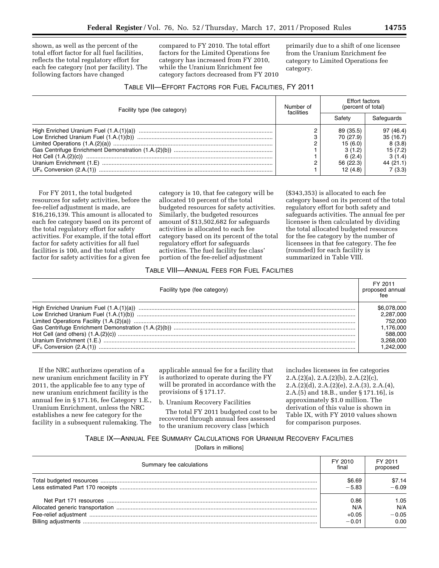shown, as well as the percent of the total effort factor for all fuel facilities, reflects the total regulatory effort for each fee category (not per facility). The following factors have changed

compared to FY 2010. The total effort factors for the Limited Operations fee category has increased from FY 2010, while the Uranium Enrichment fee category factors decreased from FY 2010 primarily due to a shift of one licensee from the Uranium Enrichment fee category to Limited Operations fee category.

#### TABLE VII—EFFORT FACTORS FOR FUEL FACILITIES, FY 2011

| Facility type (fee category) | Number of<br>facilities | Effort factors<br>(percent of total)                                          |                                                                              |
|------------------------------|-------------------------|-------------------------------------------------------------------------------|------------------------------------------------------------------------------|
|                              |                         | Safetv                                                                        | Safeguards                                                                   |
|                              | C                       | 89 (35.5)<br>70 (27.9)<br>15(6.0)<br>3(1.2)<br>6(2.4)<br>56 (22.3)<br>12(4.8) | 97 (46.4)<br>35(16.7)<br>8(3.8)<br>15 (7.2)<br>3(1.4)<br>44 (21.1)<br>7(3.3) |

For FY 2011, the total budgeted resources for safety activities, before the fee-relief adjustment is made, are \$16,216,139. This amount is allocated to each fee category based on its percent of the total regulatory effort for safety activities. For example, if the total effort factor for safety activities for all fuel facilities is 100, and the total effort factor for safety activities for a given fee

category is 10, that fee category will be allocated 10 percent of the total budgeted resources for safety activities. Similarly, the budgeted resources amount of \$13,502,682 for safeguards activities is allocated to each fee category based on its percent of the total regulatory effort for safeguards activities. The fuel facility fee class' portion of the fee-relief adjustment

(\$343,353) is allocated to each fee category based on its percent of the total regulatory effort for both safety and safeguards activities. The annual fee per licensee is then calculated by dividing the total allocated budgeted resources for the fee category by the number of licensees in that fee category. The fee (rounded) for each facility is summarized in Table VIII.

#### TABLE VIII—ANNUAL FEES FOR FUEL FACILITIES

| Facility type (fee category) | FY 2011<br>proposed annual |
|------------------------------|----------------------------|
|                              | \$6,078,000                |
|                              | 2.287.000                  |
|                              | 752,000                    |
|                              | 1.176.000                  |
|                              | 588,000                    |
|                              | 3.268.000                  |
|                              | 1.242.000                  |

If the NRC authorizes operation of a new uranium enrichment facility in FY 2011, the applicable fee to any type of new uranium enrichment facility is the annual fee in § 171.16, fee Category 1.E., Uranium Enrichment, unless the NRC establishes a new fee category for the facility in a subsequent rulemaking. The applicable annual fee for a facility that is authorized to operate during the FY will be prorated in accordance with the provisions of § 171.17.

b. Uranium Recovery Facilities

The total FY 2011 budgeted cost to be recovered through annual fees assessed to the uranium recovery class [which

includes licensees in fee categories 2.A.(2)(a), 2.A.(2)(b), 2.A.(2)(c), 2.A.(2)(d), 2.A.(2)(e), 2.A.(3), 2.A.(4), 2.A.(5) and 18.B., under § 171.16], is approximately \$1.0 million. The derivation of this value is shown in Table IX, with FY 2010 values shown for comparison purposes.

TABLE IX—ANNUAL FEE SUMMARY CALCULATIONS FOR URANIUM RECOVERY FACILITIES

[Dollars in millions]

| Summary fee calculations | FY 2010<br>final | FY 2011<br>proposed |
|--------------------------|------------------|---------------------|
|                          | \$6.69           | \$7.14              |
|                          | $-5.83$          | $-6.09$             |
|                          | 0.86             | 1.05                |
|                          | N/A              | N/A                 |
|                          | $+0.05$          | $-0.05$             |
|                          | $-0.01$          | 0.00                |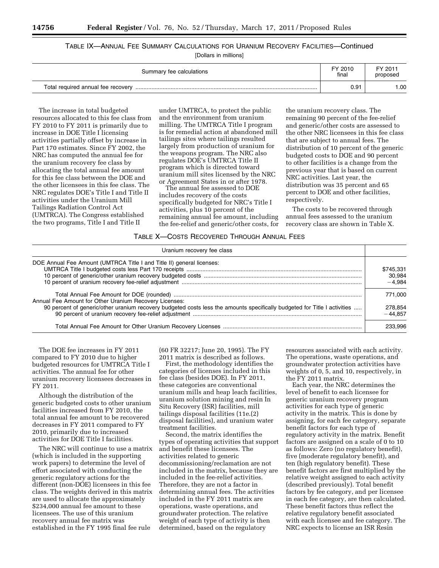## TABLE IX—ANNUAL FEE SUMMARY CALCULATIONS FOR URANIUM RECOVERY FACILITIES—Continued

[Dollars in millions]

| Summary fee calculations           | FY 2010<br>final | FY 2011<br>proposed |
|------------------------------------|------------------|---------------------|
| Total required annual fee recovery | 0.91             | .00                 |

The increase in total budgeted resources allocated to this fee class from FY 2010 to FY 2011 is primarily due to increase in DOE Title I licensing activities partially offset by increase in Part 170 estimates. Since FY 2002, the NRC has computed the annual fee for the uranium recovery fee class by allocating the total annual fee amount for this fee class between the DOE and the other licensees in this fee class. The NRC regulates DOE's Title I and Title II activities under the Uranium Mill Tailings Radiation Control Act (UMTRCA). The Congress established the two programs, Title I and Title II

under UMTRCA, to protect the public and the environment from uranium milling. The UMTRCA Title I program is for remedial action at abandoned mill tailings sites where tailings resulted largely from production of uranium for the weapons program. The NRC also regulates DOE's UMTRCA Title II program which is directed toward uranium mill sites licensed by the NRC or Agreement States in or after 1978.

The annual fee assessed to DOE includes recovery of the costs specifically budgeted for NRC's Title I activities, plus 10 percent of the remaining annual fee amount, including the fee-relief and generic/other costs, for

the uranium recovery class. The remaining 90 percent of the fee-relief and generic/other costs are assessed to the other NRC licensees in this fee class that are subject to annual fees. The distribution of 10 percent of the generic budgeted costs to DOE and 90 percent to other facilities is a change from the previous year that is based on current NRC activities. Last year, the distribution was 35 percent and 65 percent to DOE and other facilities, respectively.

The costs to be recovered through annual fees assessed to the uranium recovery class are shown in Table X.

#### TABLE X—COSTS RECOVERED THROUGH ANNUAL FEES

| Uranium recovery fee class                                                                                                |                                 |
|---------------------------------------------------------------------------------------------------------------------------|---------------------------------|
| DOE Annual Fee Amount (UMTRCA Title I and Title II) general licenses:                                                     | \$745.331<br>30.984<br>$-4.984$ |
| Annual Fee Amount for Other Uranium Recovery Licenses:                                                                    | 771.000                         |
| 90 percent of generic/other uranium recovery budgeted costs less the amounts specifically budgeted for Title I activities | 278.854<br>$-44.857$            |
|                                                                                                                           | 233.996                         |

The DOE fee increases in FY 2011 compared to FY 2010 due to higher budgeted resources for UMTRCA Title I activities. The annual fee for other uranium recovery licensees decreases in FY 2011.

Although the distribution of the generic budgeted costs to other uranium facilities increased from FY 2010, the total annual fee amount to be recovered decreases in FY 2011 compared to FY 2010, primarily due to increased activities for DOE Title I facilities.

The NRC will continue to use a matrix (which is included in the supporting work papers) to determine the level of effort associated with conducting the generic regulatory actions for the different (non-DOE) licensees in this fee class. The weights derived in this matrix are used to allocate the approximately \$234,000 annual fee amount to these licensees. The use of this uranium recovery annual fee matrix was established in the FY 1995 final fee rule

(60 FR 32217; June 20, 1995). The FY 2011 matrix is described as follows.

First, the methodology identifies the categories of licenses included in this fee class (besides DOE). In FY 2011, these categories are conventional uranium mills and heap leach facilities, uranium solution mining and resin In Situ Recovery (ISR) facilities, mill tailings disposal facilities (11e.(2) disposal facilities), and uranium water treatment facilities.

Second, the matrix identifies the types of operating activities that support and benefit these licensees. The activities related to generic decommissioning/reclamation are not included in the matrix, because they are included in the fee-relief activities. Therefore, they are not a factor in determining annual fees. The activities included in the FY 2011 matrix are operations, waste operations, and groundwater protection. The relative weight of each type of activity is then determined, based on the regulatory

resources associated with each activity. The operations, waste operations, and groundwater protection activities have weights of 0, 5, and 10, respectively, in the FY 2011 matrix.

Each year, the NRC determines the level of benefit to each licensee for generic uranium recovery program activities for each type of generic activity in the matrix. This is done by assigning, for each fee category, separate benefit factors for each type of regulatory activity in the matrix. Benefit factors are assigned on a scale of 0 to 10 as follows: Zero (no regulatory benefit), five (moderate regulatory benefit), and ten (high regulatory benefit). These benefit factors are first multiplied by the relative weight assigned to each activity (described previously). Total benefit factors by fee category, and per licensee in each fee category, are then calculated. These benefit factors thus reflect the relative regulatory benefit associated with each licensee and fee category. The NRC expects to license an ISR Resin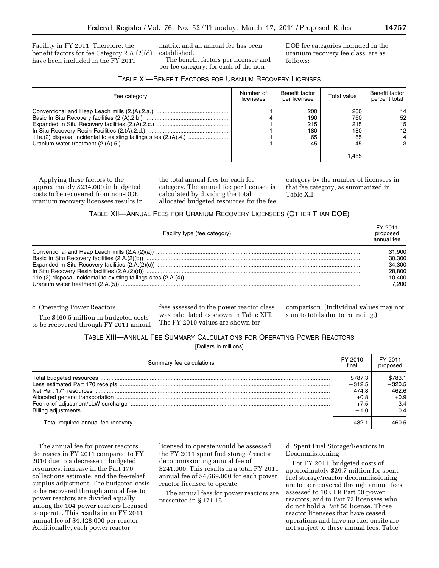Facility in FY 2011. Therefore, the benefit factors for fee Category 2.A.(2)(d) have been included in the FY 2011

matrix, and an annual fee has been established. The benefit factors per licensee and

per fee category, for each of the non-

DOE fee categories included in the uranium recovery fee class, are as follows:

| <b>TABLE XI-BENEFIT FACTORS FOR URANIUM RECOVERY LICENSES</b> |  |
|---------------------------------------------------------------|--|
|---------------------------------------------------------------|--|

| Fee category | Number of<br>licensees | Benefit factor<br>per licensee       | Total value                                   | Benefit factor<br>percent total |
|--------------|------------------------|--------------------------------------|-----------------------------------------------|---------------------------------|
|              |                        | 200<br>190<br>215<br>180<br>65<br>45 | 200<br>760<br>215<br>180<br>65<br>45<br>1.465 | 14<br>52<br>15<br>12<br>3       |

Applying these factors to the approximately \$234,000 in budgeted costs to be recovered from non-DOE uranium recovery licensees results in the total annual fees for each fee category. The annual fee per licensee is calculated by dividing the total allocated budgeted resources for the fee category by the number of licensees in that fee category, as summarized in Table XII:

#### TABLE XII—ANNUAL FEES FOR URANIUM RECOVERY LICENSEES (OTHER THAN DOE)

| Facility type (fee category) | FY 2011<br>proposed<br>annual fee |
|------------------------------|-----------------------------------|
|                              | 31.900                            |
|                              | 30.300                            |
|                              | 34.300                            |
|                              | 28,800                            |
|                              | 10.400                            |
|                              | 7.200                             |

c. Operating Power Reactors

The \$460.5 million in budgeted costs to be recovered through FY 2011 annual

fees assessed to the power reactor class was calculated as shown in Table XIII. The FY 2010 values are shown for

comparison. (Individual values may not sum to totals due to rounding.)

TABLE XIII—ANNUAL FEE SUMMARY CALCULATIONS FOR OPERATING POWER REACTORS

[Dollars in millions]

| Summary fee calculations | FY 2010<br>final | FY 2011<br>proposed |
|--------------------------|------------------|---------------------|
|                          | \$787.3          | \$783.1             |
|                          | $-312.5$         | $-320.5$            |
|                          | 474.8            | 462.6               |
|                          | $+0.8$           | $+0.9$              |
|                          | $+7.5$           | $-3.4$              |
|                          | $-1.0$           | 0.4                 |
|                          |                  | 460.5               |

The annual fee for power reactors decreases in FY 2011 compared to FY 2010 due to a decrease in budgeted resources, increase in the Part 170 collections estimate, and the fee-relief surplus adjustment. The budgeted costs to be recovered through annual fees to power reactors are divided equally among the 104 power reactors licensed to operate. This results in an FY 2011 annual fee of \$4,428,000 per reactor. Additionally, each power reactor

licensed to operate would be assessed the FY 2011 spent fuel storage/reactor decommissioning annual fee of \$241,000. This results in a total FY 2011 annual fee of \$4,669,000 for each power reactor licensed to operate.

The annual fees for power reactors are presented in § 171.15.

d. Spent Fuel Storage/Reactors in Decommissioning

For FY 2011, budgeted costs of approximately \$29.7 million for spent fuel storage/reactor decommissioning are to be recovered through annual fees assessed to 10 CFR Part 50 power reactors, and to Part 72 licensees who do not hold a Part 50 license. Those reactor licensees that have ceased operations and have no fuel onsite are not subject to these annual fees. Table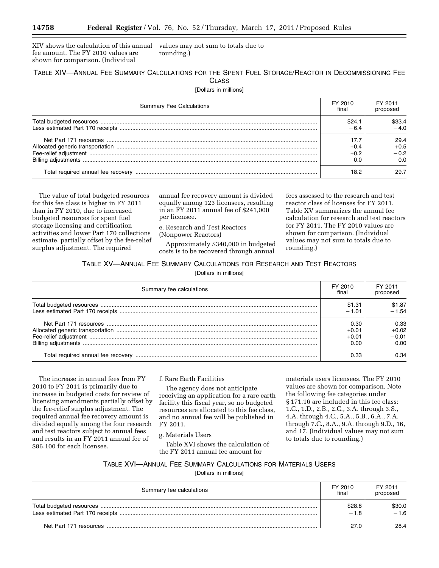XIV shows the calculation of this annual fee amount. The FY 2010 values are shown for comparison. (Individual values may not sum to totals due to rounding.)

#### TABLE XIV—ANNUAL FEE SUMMARY CALCULATIONS FOR THE SPENT FUEL STORAGE/REACTOR IN DECOMMISSIONING FEE **CLASS**

[Dollars in millions]

| <b>Summary Fee Calculations</b> | FY 2010<br>final | FY 2011<br>proposed             |
|---------------------------------|------------------|---------------------------------|
|                                 | \$24.1           | \$33.4<br>$-40$                 |
|                                 | +0.4<br>0.0      | 29.4<br>$+0.5$<br>$-0.2$<br>0.0 |
|                                 | 18.2             |                                 |

The value of total budgeted resources for this fee class is higher in FY 2011 than in FY 2010, due to increased budgeted resources for spent fuel storage licensing and certification activities and lower Part 170 collections estimate, partially offset by the fee-relief surplus adjustment. The required

annual fee recovery amount is divided equally among 123 licensees, resulting in an FY 2011 annual fee of \$241,000 per licensee.

e. Research and Test Reactors (Nonpower Reactors)

Approximately \$340,000 in budgeted costs is to be recovered through annual

fees assessed to the research and test reactor class of licenses for FY 2011. Table XV summarizes the annual fee calculation for research and test reactors for FY 2011. The FY 2010 values are shown for comparison. (Individual values may not sum to totals due to rounding.)

#### TABLE XV—ANNUAL FEE SUMMARY CALCULATIONS FOR RESEARCH AND TEST REACTORS

[Dollars in millions]

| Summary fee calculations | FY 2010<br>final | FY 2011<br>proposed |
|--------------------------|------------------|---------------------|
|                          | \$1.31           | \$1.87              |
|                          | $-1.01$          | $-1.54$             |
|                          | 0.30             | 0.33                |
|                          | $+0.01$          | $+0.02$             |
|                          | $+0.01$          | $-0.01$             |
|                          | 0.00             | 0.00                |
|                          | 0.33             | 0.34                |

The increase in annual fees from FY 2010 to FY 2011 is primarily due to increase in budgeted costs for review of licensing amendments partially offset by the fee-relief surplus adjustment. The required annual fee recovery amount is divided equally among the four research and test reactors subject to annual fees and results in an FY 2011 annual fee of \$86,100 for each licensee.

#### f. Rare Earth Facilities

The agency does not anticipate receiving an application for a rare earth facility this fiscal year, so no budgeted resources are allocated to this fee class, and no annual fee will be published in FY 2011.

g. Materials Users

Table XVI shows the calculation of the FY 2011 annual fee amount for

materials users licensees. The FY 2010 values are shown for comparison. Note the following fee categories under § 171.16 are included in this fee class: 1.C., 1.D., 2.B., 2.C., 3.A. through 3.S., 4.A. through 4.C., 5.A., 5.B., 6.A., 7.A. through 7.C., 8.A., 9.A. through 9.D., 16, and 17. (Individual values may not sum to totals due to rounding.)

## TABLE XVI—ANNUAL FEE SUMMARY CALCULATIONS FOR MATERIALS USERS

[Dollars in millions]

| Summary fee calculations | FY 2010<br>final | FY 2011<br>proposed |
|--------------------------|------------------|---------------------|
|                          | \$28.8<br>$-1.8$ | \$30.0<br>$-1.6$    |
|                          | 27 O             | 28.4                |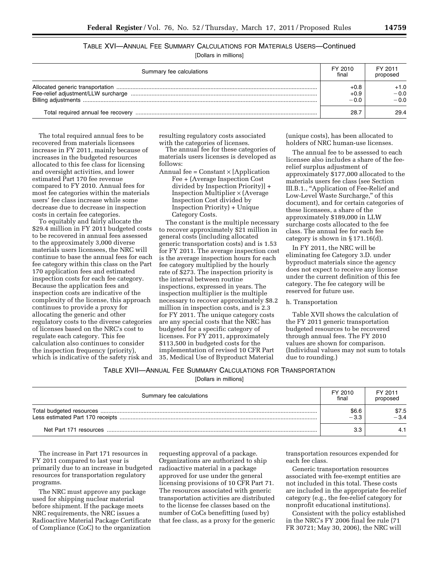## TABLE XVI—ANNUAL FEE SUMMARY CALCULATIONS FOR MATERIALS USERS—Continued

[Dollars in millions]

| Summary fee calculations | FY 2010<br>final           | FY 2011<br>proposed        |
|--------------------------|----------------------------|----------------------------|
|                          | $+0.8$<br>$+0.9$<br>$-0.0$ | $+1.0$<br>$-0.0$<br>$-0.0$ |
|                          | 28.7                       | 29.4                       |

The total required annual fees to be recovered from materials licensees increase in FY 2011, mainly because of increases in the budgeted resources allocated to this fee class for licensing and oversight activities, and lower estimated Part 170 fee revenue compared to FY 2010. Annual fees for most fee categories within the materials users' fee class increase while some decrease due to decrease in inspection costs in certain fee categories.

To equitably and fairly allocate the \$29.4 million in FY 2011 budgeted costs to be recovered in annual fees assessed to the approximately 3,000 diverse materials users licensees, the NRC will continue to base the annual fees for each fee category within this class on the Part 170 application fees and estimated inspection costs for each fee category. Because the application fees and inspection costs are indicative of the complexity of the license, this approach continues to provide a proxy for allocating the generic and other regulatory costs to the diverse categories of licenses based on the NRC's cost to regulate each category. This fee calculation also continues to consider the inspection frequency (priority), which is indicative of the safety risk and

resulting regulatory costs associated with the categories of licenses.

The annual fee for these categories of materials users licenses is developed as follows:

Annual fee =  $Constant \times [Application$ Fee + (Average Inspection Cost divided by Inspection Priority)] + Inspection Multiplier × (Average Inspection Cost divided by Inspection Priority) + Unique Category Costs.

The constant is the multiple necessary to recover approximately \$21 million in general costs (including allocated generic transportation costs) and is 1.53 for FY 2011. The average inspection cost is the average inspection hours for each fee category multiplied by the hourly rate of \$273. The inspection priority is the interval between routine inspections, expressed in years. The inspection multiplier is the multiple necessary to recover approximately \$8.2 million in inspection costs, and is 2.3 for FY 2011. The unique category costs are any special costs that the NRC has budgeted for a specific category of licenses. For FY 2011, approximately \$113,500 in budgeted costs for the implementation of revised 10 CFR Part 35, Medical Use of Byproduct Material

(unique costs), has been allocated to holders of NRC human-use licenses.

The annual fee to be assessed to each licensee also includes a share of the feerelief surplus adjustment of approximately \$177,000 allocated to the materials users fee class (see Section III.B.1., ''Application of Fee-Relief and Low-Level Waste Surcharge,'' of this document), and for certain categories of these licensees, a share of the approximately \$189,000 in LLW surcharge costs allocated to the fee class. The annual fee for each fee category is shown in § 171.16(d).

In FY 2011, the NRC will be eliminating fee Category 3.D. under byproduct materials since the agency does not expect to receive any license under the current definition of this fee category. The fee category will be reserved for future use.

#### h. Transportation

Table XVII shows the calculation of the FY 2011 generic transportation budgeted resources to be recovered through annual fees. The FY 2010 values are shown for comparison. (Individual values may not sum to totals due to rounding.)

#### TABLE XVII—ANNUAL FEE SUMMARY CALCULATIONS FOR TRANSPORTATION

[Dollars in millions]

| Summary fee calculations | FY 2010<br>final | FY 2011<br>proposed |
|--------------------------|------------------|---------------------|
|                          |                  | \$7.5<br>$-3.4$     |
|                          | ີ                |                     |

The increase in Part 171 resources in FY 2011 compared to last year is primarily due to an increase in budgeted resources for transportation regulatory programs.

The NRC must approve any package used for shipping nuclear material before shipment. If the package meets NRC requirements, the NRC issues a Radioactive Material Package Certificate of Compliance (CoC) to the organization

requesting approval of a package. Organizations are authorized to ship radioactive material in a package approved for use under the general licensing provisions of 10 CFR Part 71. The resources associated with generic transportation activities are distributed to the license fee classes based on the number of CoCs benefitting (used by) that fee class, as a proxy for the generic transportation resources expended for each fee class.

Generic transportation resources associated with fee-exempt entities are not included in this total. These costs are included in the appropriate fee-relief category (e.g., the fee-relief category for nonprofit educational institutions).

Consistent with the policy established in the NRC's FY 2006 final fee rule (71 FR 30721; May 30, 2006), the NRC will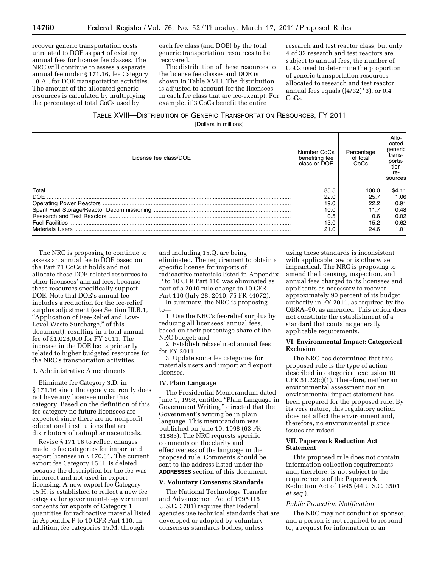recover generic transportation costs unrelated to DOE as part of existing annual fees for license fee classes. The NRC will continue to assess a separate annual fee under § 171.16, fee Category 18.A., for DOE transportation activities. The amount of the allocated generic resources is calculated by multiplying the percentage of total CoCs used by

each fee class (and DOE) by the total generic transportation resources to be recovered.

The distribution of these resources to the license fee classes and DOE is shown in Table XVIII. The distribution is adjusted to account for the licensees in each fee class that are fee-exempt. For example, if 3 CoCs benefit the entire

research and test reactor class, but only 4 of 32 research and test reactors are subject to annual fees, the number of CoCs used to determine the proportion of generic transportation resources allocated to research and test reactor annual fees equals  $((4/32)*3)$ , or 0.4 CoCs.

## TABLE XVIII—DISTRIBUTION OF GENERIC TRANSPORTATION RESOURCES, FY 2011

[Dollars in millions]

| License fee class/DOE  | Number CoCs<br>benefiting fee<br>class or DOE | Percentage<br>of total<br>CoCs | Allo-<br>cated<br>generic<br>trans-<br>porta-<br>tion<br>re-<br>sources |
|------------------------|-----------------------------------------------|--------------------------------|-------------------------------------------------------------------------|
| Total                  | 85.5                                          | 100.0                          | \$4.11                                                                  |
| DOE.                   | 22.0                                          | 25.7                           | 1.06                                                                    |
|                        | 19.0                                          | 22.2                           | 0.91                                                                    |
|                        | 10.0                                          | 11.7                           | 0.48                                                                    |
|                        | 0.5                                           | 0.6                            | 0.02                                                                    |
| <b>Fuel Facilities</b> | 13.0                                          | 15.2                           | 0.62                                                                    |
| <b>Materials Users</b> | 21.0                                          | 24.6                           | 1.01                                                                    |

The NRC is proposing to continue to assess an annual fee to DOE based on the Part 71 CoCs it holds and not allocate these DOE-related resources to other licensees' annual fees, because these resources specifically support DOE. Note that DOE's annual fee includes a reduction for the fee-relief surplus adjustment (see Section III.B.1, ''Application of Fee-Relief and Low-Level Waste Surcharge," of this document), resulting in a total annual fee of \$1,028,000 for FY 2011. The increase in the DOE fee is primarily related to higher budgeted resources for the NRC's transportation activities.

#### 3. Administrative Amendments

Eliminate fee Category 3.D. in § 171.16 since the agency currently does not have any licensee under this category. Based on the definition of this fee category no future licensees are expected since there are no nonprofit educational institutions that are distributors of radiopharmaceuticals.

Revise § 171.16 to reflect changes made to fee categories for import and export licenses in § 170.31. The current export fee Category 15.H. is deleted because the description for the fee was incorrect and not used in export licensing. A new export fee Category 15.H. is established to reflect a new fee category for government-to-government consents for exports of Category 1 quantities for radioactive material listed in Appendix P to 10 CFR Part 110. In addition, fee categories 15.M. through

and including 15.Q. are being eliminated. The requirement to obtain a specific license for imports of radioactive materials listed in Appendix P to 10 CFR Part 110 was eliminated as part of a 2010 rule change to 10 CFR Part 110 (July 28, 2010; 75 FR 44072).

In summary, the NRC is proposing to—

1. Use the NRC's fee-relief surplus by reducing all licensees' annual fees, based on their percentage share of the NRC budget; and

2. Establish rebaselined annual fees for FY 2011.

3. Update some fee categories for materials users and import and export licenses.

#### **IV. Plain Language**

The Presidential Memorandum dated June 1, 1998, entitled "Plain Language in Government Writing," directed that the Government's writing be in plain language. This memorandum was published on June 10, 1998 (63 FR 31883). The NRC requests specific comments on the clarity and effectiveness of the language in the proposed rule. Comments should be sent to the address listed under the **ADDRESSES** section of this document.

#### **V. Voluntary Consensus Standards**

The National Technology Transfer and Advancement Act of 1995 (15 U.S.C. 3701) requires that Federal agencies use technical standards that are developed or adopted by voluntary consensus standards bodies, unless

using these standards is inconsistent with applicable law or is otherwise impractical. The NRC is proposing to amend the licensing, inspection, and annual fees charged to its licensees and applicants as necessary to recover approximately 90 percent of its budget authority in FY 2011, as required by the OBRA–90, as amended. This action does not constitute the establishment of a standard that contains generally applicable requirements.

#### **VI. Environmental Impact: Categorical Exclusion**

The NRC has determined that this proposed rule is the type of action described in categorical exclusion 10 CFR 51.22(c)(1). Therefore, neither an environmental assessment nor an environmental impact statement has been prepared for the proposed rule. By its very nature, this regulatory action does not affect the environment and, therefore, no environmental justice issues are raised.

#### **VII. Paperwork Reduction Act Statement**

This proposed rule does not contain information collection requirements and, therefore, is not subject to the requirements of the Paperwork Reduction Act of 1995 (44 U.S.C. 3501 *et seq.*).

#### *Public Protection Notification*

The NRC may not conduct or sponsor, and a person is not required to respond to, a request for information or an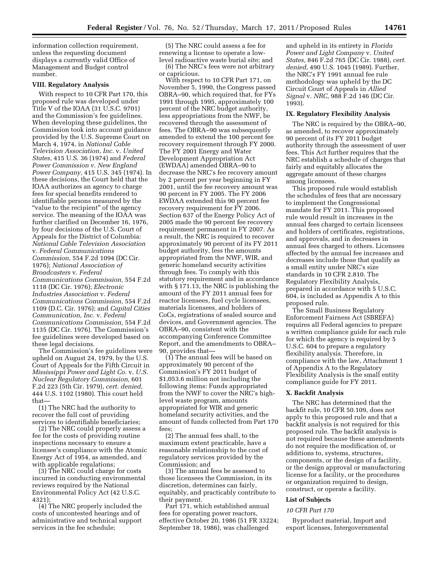information collection requirement, unless the requesting document displays a currently valid Office of Management and Budget control number.

#### **VIII. Regulatory Analysis**

With respect to 10 CFR Part 170, this proposed rule was developed under Title V of the IOAA (31 U.S.C. 9701) and the Commission's fee guidelines. When developing these guidelines, the Commission took into account guidance provided by the U.S. Supreme Court on March 4, 1974, in *National Cable Television Association, Inc.* v. *United States,* 415 U.S. 36 (1974) and *Federal Power Commission v. New England Power Company,* 415 U.S. 345 (1974). In these decisions, the Court held that the IOAA authorizes an agency to charge fees for special benefits rendered to identifiable persons measured by the "value to the recipient" of the agency service. The meaning of the IOAA was further clarified on December 16, 1976, by four decisions of the U.S. Court of Appeals for the District of Columbia: *National Cable Television Association*  v. *Federal Communications Commission,* 554 F.2d 1094 (DC Cir. 1976); *National Association of Broadcasters* v. *Federal Communications Commission,* 554 F.2d 1118 (DC Cir. 1976); *Electronic Industries Association* v. *Federal Communications Commission,* 554 F.2d 1109 (D.C. Cir. 1976); and *Capital Cities Communication, Inc.* v. *Federal Communications Commission,* 554 F.2d 1135 (DC Cir. 1976). The Commission's fee guidelines were developed based on these legal decisions.

The Commission's fee guidelines were upheld on August 24, 1979, by the U.S. Court of Appeals for the Fifth Circuit in *Mississippi Power and Light Co.* v. *U.S. Nuclear Regulatory Commission,* 601 F.2d 223 (5th Cir. 1979), *cert. denied,*  444 U.S. 1102 (1980). This court held that—

(1) The NRC had the authority to recover the full cost of providing services to identifiable beneficiaries;

(2) The NRC could properly assess a fee for the costs of providing routine inspections necessary to ensure a licensee's compliance with the Atomic Energy Act of 1954, as amended, and with applicable regulations;

(3) The NRC could charge for costs incurred in conducting environmental reviews required by the National Environmental Policy Act (42 U.S.C. 4321);

(4) The NRC properly included the costs of uncontested hearings and of administrative and technical support services in the fee schedule;

(5) The NRC could assess a fee for renewing a license to operate a lowlevel radioactive waste burial site; and

(6) The NRC's fees were not arbitrary or capricious.

With respect to 10 CFR Part 171, on November 5, 1990, the Congress passed OBRA–90, which required that, for FYs 1991 through 1995, approximately 100 percent of the NRC budget authority, less appropriations from the NWF, be recovered through the assessment of fees. The OBRA–90 was subsequently amended to extend the 100 percent fee recovery requirement through FY 2000. The FY 2001 Energy and Water Development Appropriation Act (EWDAA) amended OBRA–90 to decrease the NRC's fee recovery amount by 2 percent per year beginning in FY 2001, until the fee recovery amount was 90 percent in FY 2005. The FY 2006 EWDAA extended this 90 percent fee recovery requirement for FY 2006. Section 637 of the Energy Policy Act of 2005 made the 90 percent fee recovery requirement permanent in FY 2007. As a result, the NRC is required to recover approximately 90 percent of its FY 2011 budget authority, less the amounts appropriated from the NWF, WIR, and generic homeland security activities through fees. To comply with this statutory requirement and in accordance with § 171.13, the NRC is publishing the amount of the FY 2011 annual fees for reactor licensees, fuel cycle licensees, materials licensees, and holders of CoCs, registrations of sealed source and devices, and Government agencies. The OBRA–90, consistent with the accompanying Conference Committee Report, and the amendments to OBRA– 90, provides that—

(1) The annual fees will be based on approximately 90 percent of the Commission's FY 2011 budget of \$1,053.6 million not including the following items: Funds appropriated from the NWF to cover the NRC's highlevel waste program, amounts appropriated for WIR and generic homeland security activities, and the amount of funds collected from Part 170 fees;

(2) The annual fees shall, to the maximum extent practicable, have a reasonable relationship to the cost of regulatory services provided by the Commission; and

(3) The annual fees be assessed to those licensees the Commission, in its discretion, determines can fairly, equitably, and practicably contribute to their payment.

Part 171, which established annual fees for operating power reactors, effective October 20, 1986 (51 FR 33224; September 18, 1986), was challenged

and upheld in its entirety in *Florida Power and Light Company* v. *United States,* 846 F.2d 765 (DC Cir. 1988), *cert. denied,* 490 U.S. 1045 (1989). Further, the NRC's FY 1991 annual fee rule methodology was upheld by the DC Circuit Court of Appeals in *Allied Signal* v. *NRC,* 988 F.2d 146 (DC Cir. 1993).

#### **IX. Regulatory Flexibility Analysis**

The NRC is required by the OBRA–90, as amended, to recover approximately 90 percent of its FY 2011 budget authority through the assessment of user fees. This Act further requires that the NRC establish a schedule of charges that fairly and equitably allocates the aggregate amount of these charges among licensees.

This proposed rule would establish the schedules of fees that are necessary to implement the Congressional mandate for FY 2011. This proposed rule would result in increases in the annual fees charged to certain licensees and holders of certificates, registrations, and approvals, and in decreases in annual fees charged to others. Licensees affected by the annual fee increases and decreases include those that qualify as a small entity under NRC's size standards in 10 CFR 2.810. The Regulatory Flexibility Analysis, prepared in accordance with 5 U.S.C. 604, is included as Appendix A to this proposed rule.

The Small Business Regulatory Enforcement Fairness Act (SBREFA) requires all Federal agencies to prepare a written compliance guide for each rule for which the agency is required by 5 U.S.C. 604 to prepare a regulatory flexibility analysis. Therefore, in compliance with the law, Attachment 1 of Appendix A to the Regulatory Flexibility Analysis is the small entity compliance guide for FY 2011.

#### **X. Backfit Analysis**

The NRC has determined that the backfit rule, 10 CFR 50.109, does not apply to this proposed rule and that a backfit analysis is not required for this proposed rule. The backfit analysis is not required because these amendments do not require the modification of, or additions to, systems, structures, components, or the design of a facility, or the design approval or manufacturing license for a facility, or the procedures or organization required to design, construct, or operate a facility.

#### **List of Subjects**

#### *10 CFR Part 170*

Byproduct material, Import and export licenses, Intergovernmental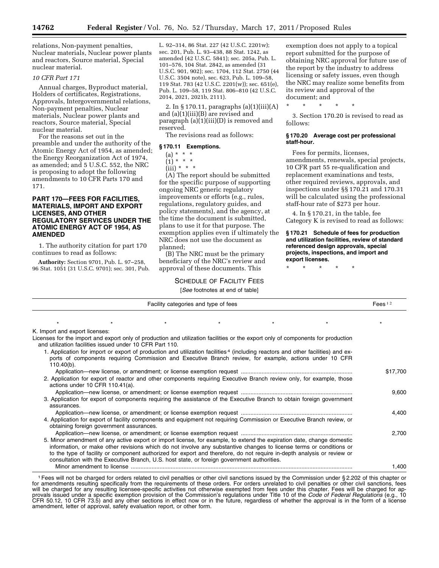relations, Non-payment penalties, Nuclear materials, Nuclear power plants and reactors, Source material, Special nuclear material.

#### *10 CFR Part 171*

Annual charges, Byproduct material, Holders of certificates, Registrations, Approvals, Intergovernmental relations, Non-payment penalties, Nuclear materials, Nuclear power plants and reactors, Source material, Special nuclear material.

For the reasons set out in the preamble and under the authority of the Atomic Energy Act of 1954, as amended; the Energy Reorganization Act of 1974, as amended; and 5 U.S.C. 552, the NRC is proposing to adopt the following amendments to 10 CFR Parts 170 and 171.

#### **PART 170—FEES FOR FACILITIES, MATERIALS, IMPORT AND EXPORT LICENSES, AND OTHER REGULATORY SERVICES UNDER THE ATOMIC ENERGY ACT OF 1954, AS AMENDED**

1. The authority citation for part 170 continues to read as follows:

**Authority:** Section 9701, Pub. L. 97–258, 96 Stat. 1051 (31 U.S.C. 9701); sec. 301, Pub.

L. 92–314, 86 Stat. 227 (42 U.S.C. 2201w); sec. 201, Pub. L. 93–438, 88 Stat. 1242, as amended (42 U.S.C. 5841); sec. 205a, Pub. L. 101–576, 104 Stat. 2842, as amended (31 U.S.C. 901, 902); sec. 1704, 112 Stat. 2750 (44 U.S.C. 3504 note), sec. 623, Pub. L. 109–58, 119 Stat. 783 (42 U.S.C. 2201(w)); sec. 651(e), Pub. L. 109–58, 119 Stat. 806–810 (42 U.S.C. 2014, 2021, 2021b, 2111).

2. In § 170.11, paragraphs (a)(1)(iii)(A) and (a)(1)(iii)(B) are revised and paragraph (a)(1)(iii)(D) is removed and reserved.

The revisions read as follows:

#### **§ 170.11 Exemptions.**

- $(a) * * * *$
- $(1) * * * *$
- $(iii) * * * *$

(A) The report should be submitted for the specific purpose of supporting ongoing NRC generic regulatory improvements or efforts (e.g., rules, regulations, regulatory guides, and policy statements), and the agency, at the time the document is submitted, plans to use it for that purpose. The exemption applies even if ultimately the NRC does not use the document as planned;

(B) The NRC must be the primary beneficiary of the NRC's review and approval of these documents. This

## SCHEDULE OF FACILITY FEES

[*See* footnotes at end of table]

exemption does not apply to a topical report submitted for the purpose of obtaining NRC approval for future use of the report by the industry to address licensing or safety issues, even though the NRC may realize some benefits from its review and approval of the document; and

\* \* \* \* \*

3. Section 170.20 is revised to read as follows:

#### **§ 170.20 Average cost per professional staff-hour.**

Fees for permits, licenses, amendments, renewals, special projects, 10 CFR part 55 re-qualification and replacement examinations and tests, other required reviews, approvals, and inspections under §§ 170.21 and 170.31 will be calculated using the professional staff-hour rate of \$273 per hour.

4. In § 170.21, in the table, fee Category K is revised to read as follows:

#### **§ 170.21 Schedule of fees for production and utilization facilities, review of standard referenced design approvals, special projects, inspections, and import and export licenses.**

\* \* \* \* \*

|           |  |  | TOCC TOOLITOLOG AT CHIA OF LADIOT    |                                                                                                                                                                                                                                                                                                                                                                                                                                                                         |                                                          |                                |
|-----------|--|--|--------------------------------------|-------------------------------------------------------------------------------------------------------------------------------------------------------------------------------------------------------------------------------------------------------------------------------------------------------------------------------------------------------------------------------------------------------------------------------------------------------------------------|----------------------------------------------------------|--------------------------------|
| Fees $12$ |  |  | Facility categories and type of fees |                                                                                                                                                                                                                                                                                                                                                                                                                                                                         |                                                          |                                |
|           |  |  |                                      |                                                                                                                                                                                                                                                                                                                                                                                                                                                                         |                                                          |                                |
|           |  |  |                                      |                                                                                                                                                                                                                                                                                                                                                                                                                                                                         |                                                          | K. Import and export licenses: |
|           |  |  |                                      | Licenses for the import and export only of production and utilization facilities or the export only of components for production<br>1. Application for import or export of production and utilization facilities <sup>4</sup> (including reactors and other facilities) and ex-                                                                                                                                                                                         | and utilization facilities issued under 10 CFR Part 110. |                                |
|           |  |  |                                      | ports of components requiring Commission and Executive Branch review, for example, actions under 10 CFR                                                                                                                                                                                                                                                                                                                                                                 |                                                          | $110.40(b)$ .                  |
| \$17,700  |  |  |                                      |                                                                                                                                                                                                                                                                                                                                                                                                                                                                         |                                                          |                                |
|           |  |  |                                      | 2. Application for export of reactor and other components requiring Executive Branch review only, for example, those                                                                                                                                                                                                                                                                                                                                                    | actions under 10 CFR $110.41(a)$ .                       |                                |
| 9,600     |  |  |                                      |                                                                                                                                                                                                                                                                                                                                                                                                                                                                         |                                                          |                                |
|           |  |  |                                      | 3. Application for export of components requiring the assistance of the Executive Branch to obtain foreign government                                                                                                                                                                                                                                                                                                                                                   |                                                          | assurances.                    |
| 4.400     |  |  |                                      |                                                                                                                                                                                                                                                                                                                                                                                                                                                                         |                                                          |                                |
|           |  |  |                                      | 4. Application for export of facility components and equipment not requiring Commission or Executive Branch review, or                                                                                                                                                                                                                                                                                                                                                  | obtaining foreign government assurances.                 |                                |
| 2,700     |  |  |                                      |                                                                                                                                                                                                                                                                                                                                                                                                                                                                         |                                                          |                                |
|           |  |  |                                      | 5. Minor amendment of any active export or import license, for example, to extend the expiration date, change domestic<br>information, or make other revisions which do not involve any substantive changes to license terms or conditions or<br>to the type of facility or component authorized for export and therefore, do not require in-depth analysis or review or<br>consultation with the Executive Branch, U.S. host state, or foreign government authorities. |                                                          |                                |
| 1.400     |  |  |                                      |                                                                                                                                                                                                                                                                                                                                                                                                                                                                         |                                                          |                                |

1Fees will not be charged for orders related to civil penalties or other civil sanctions issued by the Commission under § 2.202 of this chapter or for amendments resulting specifically from the requirements of these orders. For orders unrelated to civil penalties or other civil sanctions, fees will be charged for any resulting licensee-specific activities not otherwise exempted from fees under this chapter. Fees will be charged for approvals issued under a specific exemption provision of the Commission's regulations under Title 10 of the *Code of Federal Regulations* (e.g., 10 CFR 50.12, 10 CFR 73.5) and any other sections in effect now or in the future, regardless of whether the approval is in the form of a license amendment, letter of approval, safety evaluation report, or other form.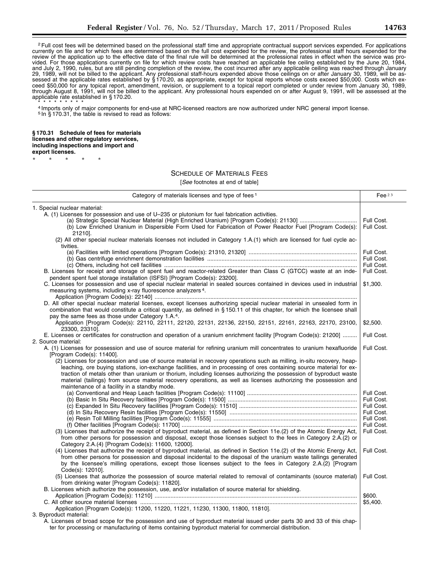<sup>2</sup> Full cost fees will be determined based on the professional staff time and appropriate contractual support services expended. For applications currently on file and for which fees are determined based on the full cost expended for the review, the professional staff hours expended for the review of the application up to the effective date of the final rule will be determined at the professional rates in effect when the service was provided. For those applications currently on file for which review costs have reached an applicable fee ceiling established by the June 20, 1984, and July 2, 1990, rules, but are still pending completion of the review, the cost incurred after any applicable ceiling was reached through January 29, 1989, will not be billed to the applicant. Any professional staff-hours expended above those ceilings on or after January 30, 1989, will be assessed at the applicable rates established by § 170.20, as appropriate, except for topical reports whose costs exceed \$50,000. Costs which exceed \$50,000 for any topical report, amendment, revision, or supplement to a topical report completed or under review from January 30, 1989, through August 8, 1991, will not be billed to the applicant. Any professional hours expended on or after August 9, 1991, will be assessed at the applicable rate established in § 170.20.

\* \* \* \* \* \* \* \* \* 4 Imports only of major components for end-use at NRC-licensed reactors are now authorized under NRC general import license. <sup>5</sup> In § 170.31, the table is revised to read as follows:

**§ 170.31 Schedule of fees for materials licenses and other regulatory services, including inspections and import and export licenses.** 

\* \* \* \* \*

## SCHEDULE OF MATERIALS FEES

| Category of materials licenses and type of fees <sup>1</sup>                                                                                                        | Fee $23$   |
|---------------------------------------------------------------------------------------------------------------------------------------------------------------------|------------|
| 1. Special nuclear material:                                                                                                                                        |            |
| A. (1) Licenses for possession and use of U-235 or plutonium for fuel fabrication activities.                                                                       |            |
|                                                                                                                                                                     | Full Cost. |
| (b) Low Enriched Uranium in Dispersible Form Used for Fabrication of Power Reactor Fuel [Program Code(s):                                                           | Full Cost. |
| 21210].                                                                                                                                                             |            |
| (2) All other special nuclear materials licenses not included in Category 1.A.(1) which are licensed for fuel cycle ac-                                             |            |
| tivities.                                                                                                                                                           |            |
|                                                                                                                                                                     | Full Cost. |
|                                                                                                                                                                     | Full Cost. |
|                                                                                                                                                                     | Full Cost. |
| B. Licenses for receipt and storage of spent fuel and reactor-related Greater than Class C (GTCC) waste at an inde-                                                 | Full Cost. |
| pendent spent fuel storage installation (ISFSI) [Program Code(s): 23200].                                                                                           |            |
| C. Licenses for possession and use of special nuclear material in sealed sources contained in devices used in industrial                                            | \$1,300.   |
| measuring systems, including x-ray fluorescence analyzers <sup>4</sup> .                                                                                            |            |
|                                                                                                                                                                     |            |
| D. All other special nuclear material licenses, except licenses authorizing special nuclear material in unsealed form in                                            |            |
| combination that would constitute a critical quantity, as defined in §150.11 of this chapter, for which the licensee shall                                          |            |
| pay the same fees as those under Category 1.A. <sup>4</sup> .                                                                                                       |            |
| Application [Program Code(s): 22110, 22111, 22120, 22131, 22136, 22150, 22151, 22161, 22163, 22170, 23100,                                                          | \$2,500.   |
| 23300, 23310].                                                                                                                                                      |            |
| E. Licenses or certificates for construction and operation of a uranium enrichment facility [Program Code(s): 21200]                                                | Full Cost. |
| 2. Source material:                                                                                                                                                 |            |
| A. (1) Licenses for possession and use of source material for refining uranium mill concentrates to uranium hexafluoride                                            | Full Cost. |
|                                                                                                                                                                     |            |
| [Program Code(s): 11400].                                                                                                                                           |            |
| (2) Licenses for possession and use of source material in recovery operations such as milling, in-situ recovery, heap-                                              |            |
| leaching, ore buying stations, ion-exchange facilities, and in processing of ores containing source material for ex-                                                |            |
| traction of metals other than uranium or thorium, including licenses authorizing the possession of byproduct waste                                                  |            |
| material (tailings) from source material recovery operations, as well as licenses authorizing the possession and                                                    |            |
| maintenance of a facility in a standby mode.                                                                                                                        |            |
|                                                                                                                                                                     | Full Cost. |
|                                                                                                                                                                     | Full Cost. |
|                                                                                                                                                                     | Full Cost. |
|                                                                                                                                                                     | Full Cost. |
|                                                                                                                                                                     | Full Cost. |
|                                                                                                                                                                     | Full Cost. |
| (3) Licenses that authorize the receipt of byproduct material, as defined in Section 11e.(2) of the Atomic Energy Act,                                              | Full Cost. |
| from other persons for possession and disposal, except those licenses subject to the fees in Category 2.A.(2) or                                                    |            |
| Category 2.A.(4) [Program Code(s): 11600, 12000].                                                                                                                   |            |
| (4) Licenses that authorize the receipt of byproduct material, as defined in Section 11e.(2) of the Atomic Energy Act,                                              | Full Cost. |
| from other persons for possession and disposal incidental to the disposal of the uranium waste tailings generated                                                   |            |
| by the licensee's milling operations, except those licenses subject to the fees in Category 2.A.(2) [Program                                                        |            |
| Code(s): 12010].                                                                                                                                                    |            |
| (5) Licenses that authorize the possession of source material related to removal of contaminants (source material)<br>from drinking water [Program Code(s): 11820]. | Full Cost. |
| B. Licenses which authorize the possession, use, and/or installation of source material for shielding.                                                              |            |
|                                                                                                                                                                     | \$600.     |
|                                                                                                                                                                     | \$5,400.   |
| Application [Program Code(s): 11200, 11220, 11221, 11230, 11300, 11800, 11810].                                                                                     |            |
| 3. Byproduct material:                                                                                                                                              |            |
| A. Licenses of broad scope for the possession and use of byproduct material issued under parts 30 and 33 of this chap-                                              |            |
| ter for processing or manufacturing of items containing byproduct material for commercial distribution.                                                             |            |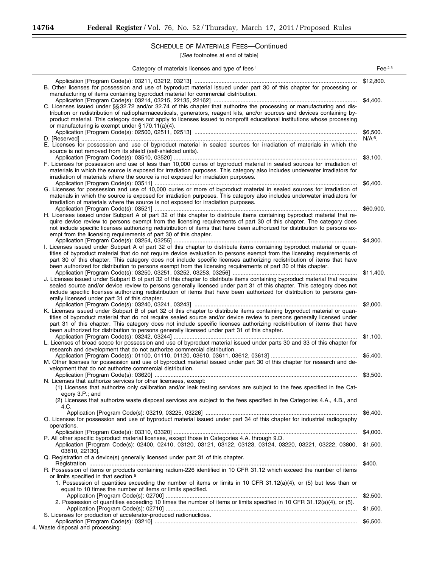-

## SCHEDULE OF MATERIALS FEES—Continued

| Category of materials licenses and type of fees <sup>1</sup>                                                                                                                                                                                                                                                                                                                                                                                                                                     | Fee $23$  |
|--------------------------------------------------------------------------------------------------------------------------------------------------------------------------------------------------------------------------------------------------------------------------------------------------------------------------------------------------------------------------------------------------------------------------------------------------------------------------------------------------|-----------|
|                                                                                                                                                                                                                                                                                                                                                                                                                                                                                                  | \$12,800. |
| B. Other licenses for possession and use of byproduct material issued under part 30 of this chapter for processing or<br>manufacturing of items containing byproduct material for commercial distribution.                                                                                                                                                                                                                                                                                       | \$4,400.  |
| C. Licenses issued under §§ 32.72 and/or 32.74 of this chapter that authorize the processing or manufacturing and dis-<br>tribution or redistribution of radiopharmaceuticals, generators, reagent kits, and/or sources and devices containing by-<br>product material. This category does not apply to licenses issued to nonprofit educational institutions whose processing<br>or manufacturing is exempt under $\S 170.11(a)(4)$ .                                                           |           |
|                                                                                                                                                                                                                                                                                                                                                                                                                                                                                                  | \$6.500.  |
| E. Licenses for possession and use of byproduct material in sealed sources for irradiation of materials in which the<br>source is not removed from its shield (self-shielded units).                                                                                                                                                                                                                                                                                                             | $N/A6$ .  |
| F. Licenses for possession and use of less than 10,000 curies of byproduct material in sealed sources for irradiation of<br>materials in which the source is exposed for irradiation purposes. This category also includes underwater irradiators for<br>irradiation of materials where the source is not exposed for irradiation purposes.                                                                                                                                                      | \$3,100.  |
| G. Licenses for possession and use of 10,000 curies or more of byproduct material in sealed sources for irradiation of<br>materials in which the source is exposed for irradiation purposes. This category also includes underwater irradiators for<br>irradiation of materials where the source is not exposed for irradiation purposes.                                                                                                                                                        | \$6,400.  |
|                                                                                                                                                                                                                                                                                                                                                                                                                                                                                                  | \$60,900. |
| H. Licenses issued under Subpart A of part 32 of this chapter to distribute items containing byproduct material that re-<br>quire device review to persons exempt from the licensing requirements of part 30 of this chapter. The category does<br>not include specific licenses authorizing redistribution of items that have been authorized for distribution to persons ex-<br>empt from the licensing requirements of part 30 of this chapter.                                               |           |
| I. Licenses issued under Subpart A of part 32 of this chapter to distribute items containing byproduct material or quan-<br>tities of byproduct material that do not require device evaluation to persons exempt from the licensing requirements of<br>part 30 of this chapter. This category does not include specific licenses authorizing redistribution of items that have<br>been authorized for distribution to persons exempt from the licensing requirements of part 30 of this chapter. | \$4,300.  |
|                                                                                                                                                                                                                                                                                                                                                                                                                                                                                                  | \$11,400. |
| J. Licenses issued under Subpart B of part 32 of this chapter to distribute items containing byproduct material that require<br>sealed source and/or device review to persons generally licensed under part 31 of this chapter. This category does not<br>include specific licenses authorizing redistribution of items that have been authorized for distribution to persons gen-<br>erally licensed under part 31 of this chapter.                                                             |           |
| K. Licenses issued under Subpart B of part 32 of this chapter to distribute items containing byproduct material or quan-<br>tities of byproduct material that do not require sealed source and/or device review to persons generally licensed under<br>part 31 of this chapter. This category does not include specific licenses authorizing redistribution of items that have                                                                                                                   | \$2,000.  |
| been authorized for distribution to persons generally licensed under part 31 of this chapter.                                                                                                                                                                                                                                                                                                                                                                                                    | \$1,100.  |
| L. Licenses of broad scope for possession and use of byproduct material issued under parts 30 and 33 of this chapter for<br>research and development that do not authorize commercial distribution.                                                                                                                                                                                                                                                                                              |           |
| M. Other licenses for possession and use of byproduct material issued under part 30 of this chapter for research and de-<br>velopment that do not authorize commercial distribution.                                                                                                                                                                                                                                                                                                             | \$5,400.  |
| N. Licenses that authorize services for other licensees, except:<br>(1) Licenses that authorize only calibration and/or leak testing services are subject to the fees specified in fee Cat-<br>egory 3.P.; and                                                                                                                                                                                                                                                                                   | \$3,500.  |
| (2) Licenses that authorize waste disposal services are subject to the fees specified in fee Categories 4.A., 4.B., and<br>4.C.                                                                                                                                                                                                                                                                                                                                                                  |           |
| O. Licenses for possession and use of byproduct material issued under part 34 of this chapter for industrial radiography<br>operations.                                                                                                                                                                                                                                                                                                                                                          | \$6,400.  |
|                                                                                                                                                                                                                                                                                                                                                                                                                                                                                                  | \$4,000.  |
| P. All other specific byproduct material licenses, except those in Categories 4.A. through 9.D.<br>Application [Program Code(s): 02400, 02410, 03120, 03121, 03122, 03123, 03124, 03220, 03221, 03222, 03800,<br>03810, 22130].                                                                                                                                                                                                                                                                  | \$1,500.  |
| Q. Registration of a device(s) generally licensed under part 31 of this chapter.                                                                                                                                                                                                                                                                                                                                                                                                                 |           |
| R. Possession of items or products containing radium-226 identified in 10 CFR 31.12 which exceed the number of items<br>or limits specified in that section. <sup>5</sup><br>1. Possession of quantities exceeding the number of items or limits in 10 CFR 31.12(a)(4), or (5) but less than or                                                                                                                                                                                                  | \$400.    |
| equal to 10 times the number of items or limits specified.                                                                                                                                                                                                                                                                                                                                                                                                                                       | \$2,500.  |
| 2. Possession of quantities exceeding 10 times the number of items or limits specified in 10 CFR 31.12(a)(4), or (5).                                                                                                                                                                                                                                                                                                                                                                            | \$1,500.  |
| S. Licenses for production of accelerator-produced radionuclides.                                                                                                                                                                                                                                                                                                                                                                                                                                | \$6,500.  |
| 4. Waste disposal and processing:                                                                                                                                                                                                                                                                                                                                                                                                                                                                |           |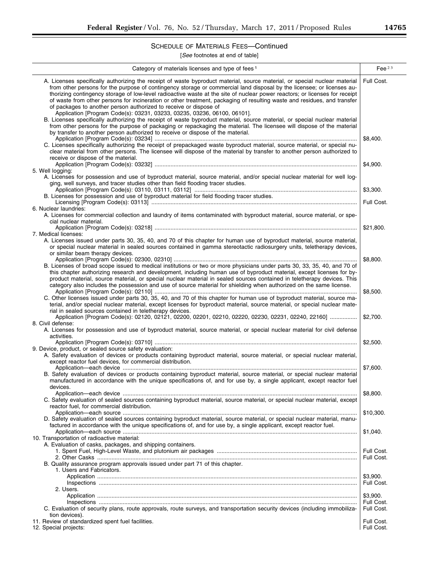## SCHEDULE OF MATERIALS FEES—Continued

| Category of materials licenses and type of fees <sup>1</sup>                                                                                                                                                                                                                                                                                                                                                                                                                                                                                                                                                                                                                                                                                                                                                                                                                                                                                                                                                | Fee $23$                             |
|-------------------------------------------------------------------------------------------------------------------------------------------------------------------------------------------------------------------------------------------------------------------------------------------------------------------------------------------------------------------------------------------------------------------------------------------------------------------------------------------------------------------------------------------------------------------------------------------------------------------------------------------------------------------------------------------------------------------------------------------------------------------------------------------------------------------------------------------------------------------------------------------------------------------------------------------------------------------------------------------------------------|--------------------------------------|
| A. Licenses specifically authorizing the receipt of waste byproduct material, source material, or special nuclear material<br>from other persons for the purpose of contingency storage or commercial land disposal by the licensee; or licenses au-<br>thorizing contingency storage of low-level radioactive waste at the site of nuclear power reactors; or licenses for receipt<br>of waste from other persons for incineration or other treatment, packaging of resulting waste and residues, and transfer<br>of packages to another person authorized to receive or dispose of<br>Application [Program Code(s): 03231, 03233, 03235, 03236, 06100, 06101].<br>B. Licenses specifically authorizing the receipt of waste byproduct material, source material, or special nuclear material<br>from other persons for the purpose of packaging or repackaging the material. The licensee will dispose of the material<br>by transfer to another person authorized to receive or dispose of the material. | Full Cost.                           |
| C. Licenses specifically authorizing the receipt of prepackaged waste byproduct material, source material, or special nu-<br>clear material from other persons. The licensee will dispose of the material by transfer to another person authorized to<br>receive or dispose of the material.                                                                                                                                                                                                                                                                                                                                                                                                                                                                                                                                                                                                                                                                                                                | \$8,400.                             |
| 5. Well logging:<br>A. Licenses for possession and use of byproduct material, source material, and/or special nuclear material for well log-<br>ging, well surveys, and tracer studies other than field flooding tracer studies.                                                                                                                                                                                                                                                                                                                                                                                                                                                                                                                                                                                                                                                                                                                                                                            | \$4,900.                             |
| B. Licenses for possession and use of byproduct material for field flooding tracer studies.                                                                                                                                                                                                                                                                                                                                                                                                                                                                                                                                                                                                                                                                                                                                                                                                                                                                                                                 | \$3,300.<br>Full Cost.               |
| 6. Nuclear laundries:<br>A. Licenses for commercial collection and laundry of items contaminated with byproduct material, source material, or spe-<br>cial nuclear material.                                                                                                                                                                                                                                                                                                                                                                                                                                                                                                                                                                                                                                                                                                                                                                                                                                |                                      |
| 7. Medical licenses:<br>A. Licenses issued under parts 30, 35, 40, and 70 of this chapter for human use of byproduct material, source material,<br>or special nuclear material in sealed sources contained in gamma stereotactic radiosurgery units, teletherapy devices,<br>or similar beam therapy devices.                                                                                                                                                                                                                                                                                                                                                                                                                                                                                                                                                                                                                                                                                               | \$21,800.                            |
| B. Licenses of broad scope issued to medical institutions or two or more physicians under parts 30, 33, 35, 40, and 70 of<br>this chapter authorizing research and development, including human use of byproduct material, except licenses for by-<br>product material, source material, or special nuclear material in sealed sources contained in teletherapy devices. This<br>category also includes the possession and use of source material for shielding when authorized on the same license.                                                                                                                                                                                                                                                                                                                                                                                                                                                                                                        | \$8,800.                             |
| C. Other licenses issued under parts 30, 35, 40, and 70 of this chapter for human use of byproduct material, source ma-<br>terial, and/or special nuclear material, except licenses for byproduct material, source material, or special nuclear mate-<br>rial in sealed sources contained in teletherapy devices.                                                                                                                                                                                                                                                                                                                                                                                                                                                                                                                                                                                                                                                                                           | \$8,500.                             |
| Application [Program Code(s): 02120, 02121, 02200, 02201, 02210, 02220, 02230, 02231, 02240, 22160]<br>8. Civil defense:<br>A. Licenses for possession and use of byproduct material, source material, or special nuclear material for civil defense<br>activities.                                                                                                                                                                                                                                                                                                                                                                                                                                                                                                                                                                                                                                                                                                                                         | \$2,700.                             |
| 9. Device, product, or sealed source safety evaluation:<br>A. Safety evaluation of devices or products containing byproduct material, source material, or special nuclear material,<br>except reactor fuel devices, for commercial distribution.                                                                                                                                                                                                                                                                                                                                                                                                                                                                                                                                                                                                                                                                                                                                                            | \$2,500.                             |
| B. Safety evaluation of devices or products containing byproduct material, source material, or special nuclear material<br>manufactured in accordance with the unique specifications of, and for use by, a single applicant, except reactor fuel<br>devices.                                                                                                                                                                                                                                                                                                                                                                                                                                                                                                                                                                                                                                                                                                                                                | \$7,600.                             |
| C. Safety evaluation of sealed sources containing byproduct material, source material, or special nuclear material, except<br>reactor fuel, for commercial distribution.                                                                                                                                                                                                                                                                                                                                                                                                                                                                                                                                                                                                                                                                                                                                                                                                                                    | \$8,800.                             |
| D. Safety evaluation of sealed sources containing byproduct material, source material, or special nuclear material, manu-<br>factured in accordance with the unique specifications of, and for use by, a single applicant, except reactor fuel.                                                                                                                                                                                                                                                                                                                                                                                                                                                                                                                                                                                                                                                                                                                                                             | \$10,300.                            |
| 10. Transportation of radioactive material:<br>A. Evaluation of casks, packages, and shipping containers.                                                                                                                                                                                                                                                                                                                                                                                                                                                                                                                                                                                                                                                                                                                                                                                                                                                                                                   | \$1,040.                             |
| B. Quality assurance program approvals issued under part 71 of this chapter.                                                                                                                                                                                                                                                                                                                                                                                                                                                                                                                                                                                                                                                                                                                                                                                                                                                                                                                                | Full Cost.<br>Full Cost.             |
| 1. Users and Fabricators.                                                                                                                                                                                                                                                                                                                                                                                                                                                                                                                                                                                                                                                                                                                                                                                                                                                                                                                                                                                   | \$3,900.<br>Full Cost.               |
| 2. Users.<br>C. Evaluation of security plans, route approvals, route surveys, and transportation security devices (including immobiliza-                                                                                                                                                                                                                                                                                                                                                                                                                                                                                                                                                                                                                                                                                                                                                                                                                                                                    | \$3,900.<br>Full Cost.<br>Full Cost. |
| tion devices).<br>11. Review of standardized spent fuel facilities.<br>12. Special projects:                                                                                                                                                                                                                                                                                                                                                                                                                                                                                                                                                                                                                                                                                                                                                                                                                                                                                                                | Full Cost.<br>Full Cost.             |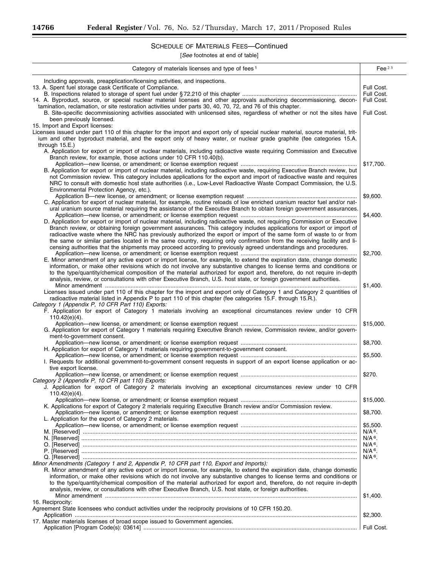-

## SCHEDULE OF MATERIALS FEES—Continued

| Category of materials licenses and type of fees <sup>1</sup>                                                                                                                                                                            | Fee $23$                 |
|-----------------------------------------------------------------------------------------------------------------------------------------------------------------------------------------------------------------------------------------|--------------------------|
| Including approvals, preapplication/licensing activities, and inspections.                                                                                                                                                              |                          |
| 13. A. Spent fuel storage cask Certificate of Compliance.                                                                                                                                                                               | Full Cost.               |
| 14. A. Byproduct, source, or special nuclear material licenses and other approvals authorizing decommissioning, decon-                                                                                                                  | Full Cost.<br>Full Cost. |
| tamination, reclamation, or site restoration activities under parts 30, 40, 70, 72, and 76 of this chapter.                                                                                                                             |                          |
| B. Site-specific decommissioning activities associated with unlicensed sites, regardless of whether or not the sites have                                                                                                               | Full Cost.               |
| been previously licensed.                                                                                                                                                                                                               |                          |
| 15. Import and Export licenses:                                                                                                                                                                                                         |                          |
| Licenses issued under part 110 of this chapter for the import and export only of special nuclear material, source material, trit-                                                                                                       |                          |
| ium and other byproduct material, and the export only of heavy water, or nuclear grade graphite (fee categories 15.A.                                                                                                                   |                          |
| through $15.E.$ )<br>A. Application for export or import of nuclear materials, including radioactive waste requiring Commission and Executive                                                                                           |                          |
| Branch review, for example, those actions under 10 CFR 110.40(b).                                                                                                                                                                       |                          |
|                                                                                                                                                                                                                                         | \$17,700.                |
| B. Application for export or import of nuclear material, including radioactive waste, requiring Executive Branch review, but                                                                                                            |                          |
| not Commission review. This category includes applications for the export and import of radioactive waste and requires                                                                                                                  |                          |
| NRC to consult with domestic host state authorities (i.e., Low-Level Radioactive Waste Compact Commission, the U.S.                                                                                                                     |                          |
| Environmental Protection Agency, etc.).                                                                                                                                                                                                 |                          |
| C. Application for export of nuclear material, for example, routine reloads of low enriched uranium reactor fuel and/or nat-                                                                                                            | \$9,600.                 |
| ural uranium source material requiring the assistance of the Executive Branch to obtain foreign government assurances.                                                                                                                  |                          |
|                                                                                                                                                                                                                                         | \$4,400.                 |
| D. Application for export or import of nuclear material, including radioactive waste, not requiring Commission or Executive                                                                                                             |                          |
| Branch review, or obtaining foreign government assurances. This category includes applications for export or import of                                                                                                                  |                          |
| radioactive waste where the NRC has previously authorized the export or import of the same form of waste to or from                                                                                                                     |                          |
| the same or similar parties located in the same country, requiring only confirmation from the receiving facility and li-                                                                                                                |                          |
| censing authorities that the shipments may proceed according to previously agreed understandings and procedures.                                                                                                                        | \$2,700.                 |
| E. Minor amendment of any active export or import license, for example, to extend the expiration date, change domestic                                                                                                                  |                          |
| information, or make other revisions which do not involve any substantive changes to license terms and conditions or                                                                                                                    |                          |
| to the type/quantity/chemical composition of the material authorized for export and, therefore, do not require in-depth                                                                                                                 |                          |
| analysis, review, or consultations with other Executive Branch, U.S. host state, or foreign government authorities.                                                                                                                     |                          |
|                                                                                                                                                                                                                                         | \$1,400.                 |
| Licenses issued under part 110 of this chapter for the import and export only of Category 1 and Category 2 quantities of<br>radioactive material listed in Appendix P to part 110 of this chapter (fee categories 15.F. through 15.R.). |                          |
| Category 1 (Appendix P, 10 CFR Part 110) Exports:                                                                                                                                                                                       |                          |
| F. Application for export of Category 1 materials involving an exceptional circumstances review under 10 CFR                                                                                                                            |                          |
| $110.42(e)(4)$ .                                                                                                                                                                                                                        |                          |
|                                                                                                                                                                                                                                         | \$15,000.                |
| G. Application for export of Category 1 materials requiring Executive Branch review, Commission review, and/or govern-<br>ment-to-government consent.                                                                                   |                          |
|                                                                                                                                                                                                                                         | \$8,700.                 |
| H. Application for export of Category 1 materials requiring government-to-government consent.                                                                                                                                           |                          |
|                                                                                                                                                                                                                                         | \$5,500.                 |
| I. Requests for additional government-to-government consent requests in support of an export license application or ac-                                                                                                                 |                          |
| tive export license.                                                                                                                                                                                                                    |                          |
| Category 2 (Appendix P, 10 CFR part 110) Exports:                                                                                                                                                                                       | \$270.                   |
| J. Application for export of Category 2 materials involving an exceptional circumstances review under 10 CFR                                                                                                                            |                          |
| $110.42(e)(4)$ .                                                                                                                                                                                                                        |                          |
|                                                                                                                                                                                                                                         | \$15,000.                |
| K. Applications for export of Category 2 materials requiring Executive Branch review and/or Commission review.                                                                                                                          |                          |
|                                                                                                                                                                                                                                         | \$8,700.                 |
| L. Application for the export of Category 2 materials.                                                                                                                                                                                  | \$5.500.                 |
|                                                                                                                                                                                                                                         | $N/A6$ .                 |
|                                                                                                                                                                                                                                         | $N/A6$ .                 |
|                                                                                                                                                                                                                                         | N/A <sup>6</sup> .       |
|                                                                                                                                                                                                                                         | $N/A6$ .                 |
| Minor Amendments (Category 1 and 2, Appendix P, 10 CFR part 110, Export and Imports):                                                                                                                                                   | $N/A6$ .                 |
| R. Minor amendment of any active export or import license, for example, to extend the expiration date, change domestic                                                                                                                  |                          |
| information, or make other revisions which do not involve any substantive changes to license terms and conditions or                                                                                                                    |                          |
| to the type/quantity/chemical composition of the material authorized for export and, therefore, do not require in-depth                                                                                                                 |                          |
| analysis, review, or consultations with other Executive Branch, U.S. host state, or foreign authorities.                                                                                                                                |                          |
|                                                                                                                                                                                                                                         | \$1,400.                 |
| 16. Reciprocity:                                                                                                                                                                                                                        |                          |
| Agreement State licensees who conduct activities under the reciprocity provisions of 10 CFR 150.20.                                                                                                                                     | \$2,300.                 |
| 17. Master materials licenses of broad scope issued to Government agencies.                                                                                                                                                             |                          |
|                                                                                                                                                                                                                                         |                          |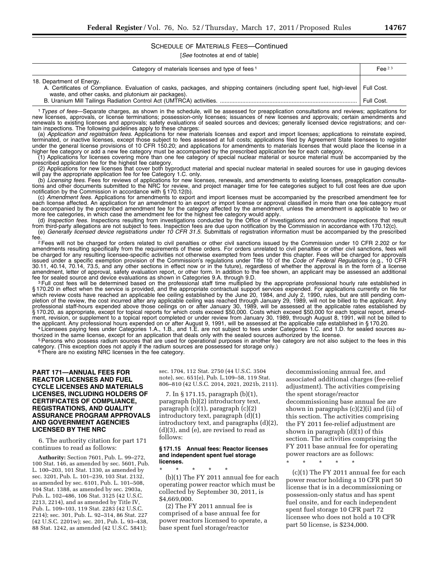## SCHEDULE OF MATERIALS FEES—Continued

[*See* footnotes at end of table]

| Category of materials licenses and type of fees <sup>1</sup>                                                                                                                                                              | Fee $23$   |
|---------------------------------------------------------------------------------------------------------------------------------------------------------------------------------------------------------------------------|------------|
| 18. Department of Energy.<br>A. Certificates of Compliance. Evaluation of casks, packages, and shipping containers (including spent fuel, high-level   Full Cost.<br>waste, and other casks, and plutonium air packages). | Full Cost. |
|                                                                                                                                                                                                                           |            |

1*Types of fees*—Separate charges, as shown in the schedule, will be assessed for preapplication consultations and reviews; applications for new licenses, approvals, or license terminations; possession-only licenses; issuances of new licenses and approvals; certain amendments and renewals to existing licenses and approvals; safety evaluations of sealed sources and devices; generally licensed device registrations; and certain inspections. The following guidelines apply to these charges:

(a) *Application and registration fees.* Applications for new materials licenses and export and import licenses; applications to reinstate expired, terminated, or inactive licenses, except those subject to fees assessed at full costs; applications filed by Agreement State licensees to register under the general license provisions of 10 CFR 150.20; and applications for amendments to materials licenses that would place the license in a higher fee category or add a new fee category must be accompanied by the prescribed application fee for each category.

(1) Applications for licenses covering more than one fee category of special nuclear material or source material must be accompanied by the prescribed application fee for the highest fee category.

(2) Applications for new licenses that cover both byproduct material and special nuclear material in sealed sources for use in gauging devices will pay the appropriate application fee for fee Category 1.C. only.

(b) *Licensing fees.* Fees for reviews of applications for new licenses, renewals, and amendments to existing licenses, preapplication consultations and other documents submitted to the NRC for review, and project manager time for fee categories subject to full cost fees are due upon notification by the Commission in accordance with § 170.12(b).

(c) *Amendment fees.* Applications for amendments to export and import licenses must be accompanied by the prescribed amendment fee for each license affected. An application for an amendment to an export or import license or approval classified in more than one fee category must be accompanied by the prescribed amendment fee for the category affected by the amendment, unless the amendment is applicable to two or more fee categories, in which case the amendment fee for the highest fee category would apply.

(d) *Inspection fees.* Inspections resulting from investigations conducted by the Office of Investigations and nonroutine inspections that result from third-party allegations are not subject to fees. Inspection fees are due upon notification by the Commission in accordance with 170.12(c). (e) *Generally licensed device registrations under 10 CFR 31.5.* Submittals of registration information must be accompanied by the prescribed

<sup>2</sup> Fees will not be charged for orders related to civil penalties or other civil sanctions issued by the Commission under 10 CFR 2.202 or for amendments resulting specifically from the requirements of these orders. For orders unrelated to civil penalties or other civil sanctions, fees will be charged for any resulting licensee-specific activities not otherwise exempted from fees under this chapter. Fees will be charged for approvals issued under a specific exemption provision of the Commission's regulations under Title 10 of the *Code of Federal Regulations* (e.g., 10 CFR 30.11, 40.14, 70.14, 73.5, and any other sections in effect now or in the future), regardless of whether the approval is in the form of a license amendment, letter of approval, safety evaluation report, or other form. In addition to the fee shown, an applicant may be assessed an additional<br>fee for sealed source and device evaluations as shown in Categories 9.A. thro

<sup>3</sup>Full cost fees will be determined based on the professional staff time multiplied by the appropriate professional hourly rate established in § 170.20 in effect when the service is provided, and the appropriate contractual support services expended. For applications currently on file for which review costs have reached an applicable fee ceiling established by the June 20, 1984, and July 2, 1990, rules, but are still pending completion of the review, the cost incurred after any applicable ceiling was reached through January 29, 1989, will not be billed to the applicant. Any professional staff-hours expended above those ceilings on or after January 30, 1989, will be assessed at the applicable rates established by § 170.20, as appropriate, except for topical reports for which costs exceed \$50,000. Costs which exceed \$50,000 for each topical report, amendment, revision, or supplement to a topical report completed or under review from January 30, 1989, through August 8, 1991, will not be billed to<br>the applicant. Any professional hours expended on or after August 9, 1991, wi

<sup>4</sup> Licensees paying fees under Categories 1.A., 1.B., and 1.E. are not subject to fees under Categories 1.C. and 1.D. for sealed sources authorized in the same license, except for an application that deals only with the s

<sup>5</sup> Persons who possess radium sources that are used for operational purposes in another fee category are not also subject to the fees in this category. (This exception does not apply if the radium sources are possessed for storage only.) <sup>6</sup>There are no existing NRC licenses in the fee category.

#### **PART 171—ANNUAL FEES FOR REACTOR LICENSES AND FUEL CYCLE LICENSES AND MATERIALS LICENSES, INCLUDING HOLDERS OF CERTIFICATES OF COMPLIANCE, REGISTRATIONS, AND QUALITY ASSURANCE PROGRAM APPROVALS AND GOVERNMENT AGENCIES LICENSED BY THE NRC**

6. The authority citation for part 171 continues to read as follows:

**Authority:** Section 7601, Pub. L. 99–272, 100 Stat. 146, as amended by sec. 5601, Pub. L. 100–203, 101 Stat. 1330, as amended by sec. 3201, Pub. L. 101–239, 103 Stat. 2132, as amended by sec. 6101, Pub. L. 101–508, 104 Stat. 1388, as amended by sec. 2903a, Pub. L. 102–486, 106 Stat. 3125 (42 U.S.C. 2213, 2214), and as amended by Title IV, Pub. L. 109–103, 119 Stat. 2283 (42 U.S.C. 2214); sec. 301, Pub. L. 92–314, 86 Stat. 227 (42 U.S.C. 2201w); sec. 201, Pub. L. 93–438, 88 Stat. 1242, as amended (42 U.S.C. 5841);

sec. 1704, 112 Stat. 2750 (44 U.S.C. 3504 note), sec. 651(e), Pub. L.109–58, 119 Stat. 806–810 (42 U.S.C. 2014, 2021, 2021b, 2111).

7. In § 171.15, paragraph (b)(1), paragraph (b)(2) introductory text, paragraph (c)(1), paragraph (c)(2) introductory text, paragraph (d)(1) introductory text, and paragraphs (d)(2), (d)(3), and (e), are revised to read as follows:

#### **§ 171.15 Annual fees: Reactor licenses and independent spent fuel storage licenses.**

\* \* \* \* \* (b)(1) The FY 2011 annual fee for each operating power reactor which must be collected by September 30, 2011, is \$4,669,000.

(2) The FY 2011 annual fee is comprised of a base annual fee for power reactors licensed to operate, a base spent fuel storage/reactor

decommissioning annual fee, and associated additional charges (fee-relief adjustment). The activities comprising the spent storage/reactor decommissioning base annual fee are shown in paragraphs (c)(2)(i) and (ii) of this section. The activities comprising the FY 2011 fee-relief adjustment are shown in paragraph (d)(1) of this section. The activities comprising the FY 2011 base annual fee for operating power reactors are as follows:

\* \* \* \* \*

(c)(1) The FY 2011 annual fee for each power reactor holding a 10 CFR part 50 license that is in a decommissioning or possession-only status and has spent fuel onsite, and for each independent spent fuel storage 10 CFR part 72 licensee who does not hold a 10 CFR part 50 license, is \$234,000.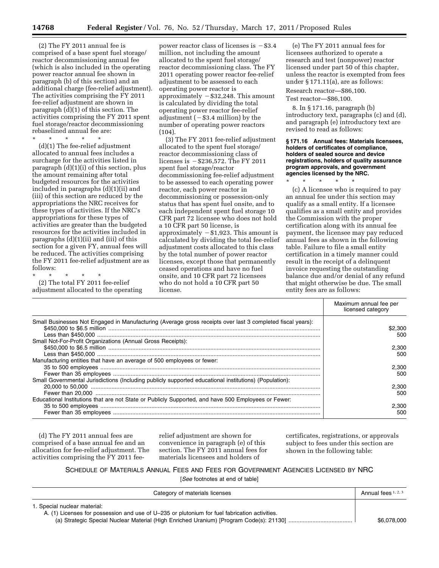(2) The FY 2011 annual fee is comprised of a base spent fuel storage/ reactor decommissioning annual fee (which is also included in the operating power reactor annual fee shown in paragraph (b) of this section) and an additional charge (fee-relief adjustment). The activities comprising the FY 2011 fee-relief adjustment are shown in paragraph (d)(1) of this section. The activities comprising the FY 2011 spent fuel storage/reactor decommissioning rebaselined annual fee are:

\* \* \* \* \*

(d)(1) The fee-relief adjustment allocated to annual fees includes a surcharge for the activities listed in paragraph (d)(1)(i) of this section, plus the amount remaining after total budgeted resources for the activities included in paragraphs (d)(1)(ii) and (iii) of this section are reduced by the appropriations the NRC receives for these types of activities. If the NRC's appropriations for these types of activities are greater than the budgeted resources for the activities included in paragraphs (d)(1)(ii) and (iii) of this section for a given FY, annual fees will be reduced. The activities comprising the FY 2011 fee-relief adjustment are as follows:

\* \* \* \* \* (2) The total FY 2011 fee-relief adjustment allocated to the operating

power reactor class of licenses is  $-$ \$3.4 million, not including the amount allocated to the spent fuel storage/ reactor decommissioning class. The FY 2011 operating power reactor fee-relief adjustment to be assessed to each operating power reactor is approximately  $-$ \$32,248. This amount is calculated by dividing the total operating power reactor fee-relief adjustment  $(-\$3.4$  million) by the number of operating power reactors (104).

(3) The FY 2011 fee-relief adjustment allocated to the spent fuel storage/ reactor decommissioning class of licenses is  $-$  \$236,572. The FY 2011 spent fuel storage/reactor decommissioning fee-relief adjustment to be assessed to each operating power reactor, each power reactor in decommissioning or possession-only status that has spent fuel onsite, and to each independent spent fuel storage 10 CFR part 72 licensee who does not hold a 10 CFR part 50 license, is approximately  $-$ \$1,923. This amount is calculated by dividing the total fee-relief adjustment costs allocated to this class by the total number of power reactor licenses, except those that permanently ceased operations and have no fuel onsite, and 10 CFR part 72 licensees who do not hold a 10 CFR part 50 license.

(e) The FY 2011 annual fees for licensees authorized to operate a research and test (nonpower) reactor licensed under part 50 of this chapter, unless the reactor is exempted from fees under § 171.11(a), are as follows:

Research reactor—\$86,100.

Test reactor—\$86,100.

8. In § 171.16, paragraph (b) introductory text, paragraphs (c) and (d), and paragraph (e) introductory text are revised to read as follows:

#### **§ 171.16 Annual fees: Materials licensees, holders of certificates of compliance, holders of sealed source and device registrations, holders of quality assurance program approvals, and government agencies licensed by the NRC.**

\* \* \* \* \* (c) A licensee who is required to pay an annual fee under this section may qualify as a small entity. If a licensee qualifies as a small entity and provides the Commission with the proper certification along with its annual fee payment, the licensee may pay reduced annual fees as shown in the following table. Failure to file a small entity certification in a timely manner could result in the receipt of a delinquent invoice requesting the outstanding balance due and/or denial of any refund that might otherwise be due. The small entity fees are as follows:

|                                                                                                            | Maximum annual fee per<br>licensed category |
|------------------------------------------------------------------------------------------------------------|---------------------------------------------|
| Small Businesses Not Engaged in Manufacturing (Average gross receipts over last 3 completed fiscal years): | \$2,300                                     |
|                                                                                                            | 500                                         |
| Small Not-For-Profit Organizations (Annual Gross Receipts):                                                |                                             |
|                                                                                                            | 2.300                                       |
|                                                                                                            | 500                                         |
| Manufacturing entities that have an average of 500 employees or fewer:                                     |                                             |
|                                                                                                            | 2.300                                       |
|                                                                                                            | 500                                         |
| Small Governmental Jurisdictions (Including publicly supported educational institutions) (Population):     |                                             |
|                                                                                                            | 2.300                                       |
|                                                                                                            | 500                                         |
| Educational Institutions that are not State or Publicly Supported, and have 500 Employees or Fewer:        |                                             |
|                                                                                                            | 2.300                                       |
|                                                                                                            | 500                                         |

(d) The FY 2011 annual fees are comprised of a base annual fee and an allocation for fee-relief adjustment. The activities comprising the FY 2011 feerelief adjustment are shown for convenience in paragraph (e) of this section. The FY 2011 annual fees for materials licensees and holders of

certificates, registrations, or approvals subject to fees under this section are shown in the following table:

SCHEDULE OF MATERIALS ANNUAL FEES AND FEES FOR GOVERNMENT AGENCIES LICENSED BY NRC [*See* footnotes at end of table]

| Category of materials licenses                                                                | Annual fees $1, 2, 3$ |
|-----------------------------------------------------------------------------------------------|-----------------------|
| 1. Special nuclear material:                                                                  |                       |
| A. (1) Licenses for possession and use of U-235 or plutonium for fuel fabrication activities. |                       |
|                                                                                               | \$6,078,000           |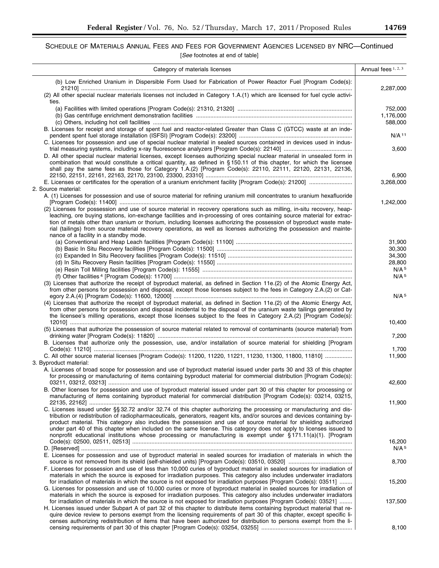$\equiv$ 

## SCHEDULE OF MATERIALS ANNUAL FEES AND FEES FOR GOVERNMENT AGENCIES LICENSED BY NRC—Continued [*See* footnotes at end of table]

| Category of materials licenses                                                                                                                                                                                                                                                                                                                                                                                                                                                                                                                                                                             | Annual fees 1, 2, 3             |
|------------------------------------------------------------------------------------------------------------------------------------------------------------------------------------------------------------------------------------------------------------------------------------------------------------------------------------------------------------------------------------------------------------------------------------------------------------------------------------------------------------------------------------------------------------------------------------------------------------|---------------------------------|
| (b) Low Enriched Uranium in Dispersible Form Used for Fabrication of Power Reactor Fuel [Program Code(s):                                                                                                                                                                                                                                                                                                                                                                                                                                                                                                  | 2,287,000                       |
| (2) All other special nuclear materials licenses not included in Category 1.A.(1) which are licensed for fuel cycle activi-<br>ties.                                                                                                                                                                                                                                                                                                                                                                                                                                                                       |                                 |
|                                                                                                                                                                                                                                                                                                                                                                                                                                                                                                                                                                                                            | 752,000<br>1,176,000<br>588,000 |
| B. Licenses for receipt and storage of spent fuel and reactor-related Greater than Class C (GTCC) waste at an inde-<br>C. Licenses for possession and use of special nuclear material in sealed sources contained in devices used in indus-                                                                                                                                                                                                                                                                                                                                                                | $N/A$ <sup>11</sup>             |
| D. All other special nuclear material licenses, except licenses authorizing special nuclear material in unsealed form in<br>combination that would constitute a critical quantity, as defined in §150.11 of this chapter, for which the licensee<br>shall pay the same fees as those for Category 1.A.(2) [Program Code(s): 22110, 22111, 22120, 22131, 22136,                                                                                                                                                                                                                                             | 3,600                           |
| 2. Source material:                                                                                                                                                                                                                                                                                                                                                                                                                                                                                                                                                                                        | 6,900<br>3,268,000              |
| A. (1) Licenses for possession and use of source material for refining uranium mill concentrates to uranium hexafluoride                                                                                                                                                                                                                                                                                                                                                                                                                                                                                   | 1,242,000                       |
| (2) Licenses for possession and use of source material in recovery operations such as milling, in-situ recovery, heap-<br>leaching, ore buying stations, ion-exchange facilities and in-processing of ores containing source material for extrac-<br>tion of metals other than uranium or thorium, including licenses authorizing the possession of byproduct waste mate-<br>rial (tailings) from source material recovery operations, as well as licenses authorizing the possession and mainte-<br>nance of a facility in a standby mode.                                                                |                                 |
|                                                                                                                                                                                                                                                                                                                                                                                                                                                                                                                                                                                                            | 31,900                          |
|                                                                                                                                                                                                                                                                                                                                                                                                                                                                                                                                                                                                            | 30,300                          |
|                                                                                                                                                                                                                                                                                                                                                                                                                                                                                                                                                                                                            | 34,300                          |
|                                                                                                                                                                                                                                                                                                                                                                                                                                                                                                                                                                                                            | 28,800                          |
|                                                                                                                                                                                                                                                                                                                                                                                                                                                                                                                                                                                                            | N/A <sup>5</sup>                |
| (3) Licenses that authorize the receipt of byproduct material, as defined in Section 11e.(2) of the Atomic Energy Act,<br>from other persons for possession and disposal, except those licenses subject to the fees in Category 2.A.(2) or Cat-                                                                                                                                                                                                                                                                                                                                                            | N/A <sup>5</sup>                |
| (4) Licenses that authorize the receipt of byproduct material, as defined in Section 11e.(2) of the Atomic Energy Act,<br>from other persons for possession and disposal incidental to the disposal of the uranium waste tailings generated by<br>the licensee's milling operations, except those licenses subject to the fees in Category 2.A.(2) [Program Code(s):                                                                                                                                                                                                                                       | N/A <sup>5</sup>                |
| (5) Licenses that authorize the possession of source material related to removal of contaminants (source material) from                                                                                                                                                                                                                                                                                                                                                                                                                                                                                    | 10,400                          |
| B. Licenses that authorize only the possession, use, and/or installation of source material for shielding [Program                                                                                                                                                                                                                                                                                                                                                                                                                                                                                         | 7,200<br>1,700                  |
| C. All other source material licenses [Program Code(s): 11200, 11220, 11221, 11230, 11300, 11800, 11810]                                                                                                                                                                                                                                                                                                                                                                                                                                                                                                   | 11,900                          |
| 3. Byproduct material:<br>A. Licenses of broad scope for possession and use of byproduct material issued under parts 30 and 33 of this chapter                                                                                                                                                                                                                                                                                                                                                                                                                                                             |                                 |
| for processing or manufacturing of items containing byproduct material for commercial distribution [Program Code(s):                                                                                                                                                                                                                                                                                                                                                                                                                                                                                       | 42,600                          |
| B. Other licenses for possession and use of byproduct material issued under part 30 of this chapter for processing or<br>manufacturing of items containing byproduct material for commercial distribution [Program Code(s): 03214, 03215,                                                                                                                                                                                                                                                                                                                                                                  | 11,900                          |
| C. Licenses issued under §§ 32.72 and/or 32.74 of this chapter authorizing the processing or manufacturing and dis-<br>tribution or redistribution of radiopharmaceuticals, generators, reagent kits, and/or sources and devices containing by-<br>product material. This category also includes the possession and use of source material for shielding authorized<br>under part 40 of this chapter when included on the same license. This category does not apply to licenses issued to<br>nonprofit educational institutions whose processing or manufacturing is exempt under §171.11(a)(1). [Program |                                 |
| E. Licenses for possession and use of byproduct material in sealed sources for irradiation of materials in which the                                                                                                                                                                                                                                                                                                                                                                                                                                                                                       | 16,200<br>N/A <sup>5</sup>      |
| F. Licenses for possession and use of less than 10,000 curies of byproduct material in sealed sources for irradiation of                                                                                                                                                                                                                                                                                                                                                                                                                                                                                   | 8,700                           |
| materials in which the source is exposed for irradiation purposes. This category also includes underwater irradiators<br>for irradiation of materials in which the source is not exposed for irradiation purposes [Program Code(s): 03511]                                                                                                                                                                                                                                                                                                                                                                 | 15,200                          |
| G. Licenses for possession and use of 10,000 curies or more of byproduct material in sealed sources for irradiation of<br>materials in which the source is exposed for irradiation purposes. This category also includes underwater irradiators<br>for irradiation of materials in which the source is not exposed for irradiation purposes [Program Code(s): 03521]<br>H. Licenses issued under Subpart A of part 32 of this chapter to distribute items containing byproduct material that re-                                                                                                           | 137,500                         |
| quire device review to persons exempt from the licensing requirements of part 30 of this chapter, except specific li-<br>censes authorizing redistribution of items that have been authorized for distribution to persons exempt from the li-                                                                                                                                                                                                                                                                                                                                                              | 8,100                           |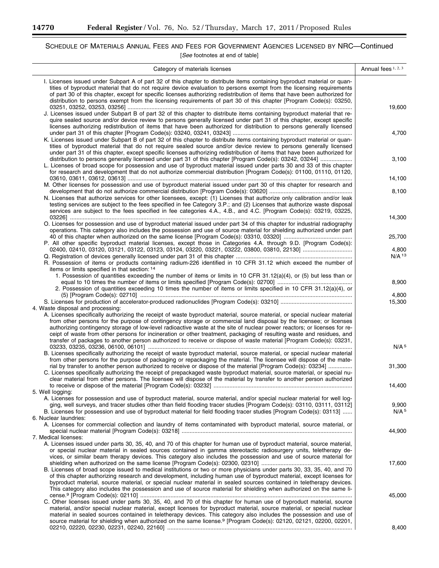-

۰

## SCHEDULE OF MATERIALS ANNUAL FEES AND FEES FOR GOVERNMENT AGENCIES LICENSED BY NRC—Continued

| Category of materials licenses                                                                                                                                                                                                                                                                                                                                                                                                                                                                                                                                                                                                                                    | Annual fees 1, 2, 3       |
|-------------------------------------------------------------------------------------------------------------------------------------------------------------------------------------------------------------------------------------------------------------------------------------------------------------------------------------------------------------------------------------------------------------------------------------------------------------------------------------------------------------------------------------------------------------------------------------------------------------------------------------------------------------------|---------------------------|
| I. Licenses issued under Subpart A of part 32 of this chapter to distribute items containing byproduct material or quan-<br>tities of byproduct material that do not require device evaluation to persons exempt from the licensing requirements<br>of part 30 of this chapter, except for specific licenses authorizing redistribution of items that have been authorized for<br>distribution to persons exempt from the licensing requirements of part 30 of this chapter [Program Code(s): 03250,                                                                                                                                                              |                           |
| J. Licenses issued under Subpart B of part 32 of this chapter to distribute items containing byproduct material that re-<br>quire sealed source and/or device review to persons generally licensed under part 31 of this chapter, except specific<br>licenses authorizing redistribution of items that have been authorized for distribution to persons generally licensed                                                                                                                                                                                                                                                                                        | 19,600                    |
| K. Licenses issued under Subpart B of part 32 of this chapter to distribute items containing byproduct material or quan-<br>tities of byproduct material that do not require sealed source and/or device review to persons generally licensed<br>under part 31 of this chapter, except specific licenses authorizing redistribution of items that have been authorized for                                                                                                                                                                                                                                                                                        | 4,700                     |
| distribution to persons generally licensed under part 31 of this chapter [Program Code(s): 03242, 03244]<br>L. Licenses of broad scope for possession and use of byproduct material issued under parts 30 and 33 of this chapter<br>for research and development that do not authorize commercial distribution [Program Code(s): 01100, 01110, 01120,                                                                                                                                                                                                                                                                                                             | 3,100                     |
| M. Other licenses for possession and use of byproduct material issued under part 30 of this chapter for research and                                                                                                                                                                                                                                                                                                                                                                                                                                                                                                                                              | 14,100                    |
| N. Licenses that authorize services for other licensees, except: (1) Licenses that authorize only calibration and/or leak<br>testing services are subject to the fees specified in fee Category 3.P.; and (2) Licenses that authorize waste disposal<br>services are subject to the fees specified in fee categories 4.A., 4.B., and 4.C. [Program Code(s): 03219, 03225,                                                                                                                                                                                                                                                                                         | 8,100                     |
| O. Licenses for possession and use of byproduct material issued under part 34 of this chapter for industrial radiography<br>operations. This category also includes the possession and use of source material for shielding authorized under part                                                                                                                                                                                                                                                                                                                                                                                                                 | 14,300<br>25,700          |
| P. All other specific byproduct material licenses, except those in Categories 4.A. through 9.D. [Program Code(s):                                                                                                                                                                                                                                                                                                                                                                                                                                                                                                                                                 | 4,800                     |
| R. Possession of items or products containing radium-226 identified in 10 CFR 31.12 which exceed the number of<br>items or limits specified in that section: 14                                                                                                                                                                                                                                                                                                                                                                                                                                                                                                   | $N/A$ 13                  |
| 1. Possession of quantities exceeding the number of items or limits in 10 CFR 31.12(a)(4), or (5) but less than or<br>2. Possession of quantities exceeding 10 times the number of items or limits specified in 10 CFR 31.12(a)(4), or                                                                                                                                                                                                                                                                                                                                                                                                                            | 8,900                     |
|                                                                                                                                                                                                                                                                                                                                                                                                                                                                                                                                                                                                                                                                   | 4,800<br>15,300           |
| 4. Waste disposal and processing:<br>A. Licenses specifically authorizing the receipt of waste byproduct material, source material, or special nuclear material<br>from other persons for the purpose of contingency storage or commercial land disposal by the licensee; or licenses<br>authorizing contingency storage of low-level radioactive waste at the site of nuclear power reactors; or licenses for re-<br>ceipt of waste from other persons for incineration or other treatment, packaging of resulting waste and residues, and<br>transfer of packages to another person authorized to receive or dispose of waste material [Program Code(s): 03231, |                           |
| B. Licenses specifically authorizing the receipt of waste byproduct material, source material, or special nuclear material<br>from other persons for the purpose of packaging or repackaging the material. The licensee will dispose of the mate-                                                                                                                                                                                                                                                                                                                                                                                                                 | N/A <sup>5</sup>          |
| rial by transfer to another person authorized to receive or dispose of the material (Program Code(s): 03234]<br>C. Licenses specifically authorizing the receipt of prepackaged waste byproduct material, source material, or special nu-<br>clear material from other persons. The licensee will dispose of the material by transfer to another person authorized                                                                                                                                                                                                                                                                                                | 31,300                    |
| 5. Well logging:<br>A. Licenses for possession and use of byproduct material, source material, and/or special nuclear material for well log-                                                                                                                                                                                                                                                                                                                                                                                                                                                                                                                      | 14,400                    |
| ging, well surveys, and tracer studies other than field flooding tracer studies [Program Code(s): 03110, 03111, 03112]<br>B. Licenses for possession and use of byproduct material for field flooding tracer studies [Program Code(s): 03113]<br>6. Nuclear laundries:                                                                                                                                                                                                                                                                                                                                                                                            | 9,900<br>N/A <sup>5</sup> |
| A. Licenses for commercial collection and laundry of items contaminated with byproduct material, source material, or                                                                                                                                                                                                                                                                                                                                                                                                                                                                                                                                              | 44,900                    |
| 7. Medical licenses:<br>A. Licenses issued under parts 30, 35, 40, and 70 of this chapter for human use of byproduct material, source material,<br>or special nuclear material in sealed sources contained in gamma stereotactic radiosurgery units, teletherapy de-<br>vices, or similar beam therapy devices. This category also includes the possession and use of source material for                                                                                                                                                                                                                                                                         |                           |
| B. Licenses of broad scope issued to medical institutions or two or more physicians under parts 30, 33, 35, 40, and 70<br>of this chapter authorizing research and development, including human use of byproduct material, except licenses for<br>byproduct material, source material, or special nuclear material in sealed sources contained in teletherapy devices.                                                                                                                                                                                                                                                                                            | 17,600                    |
| This category also includes the possession and use of source material for shielding when authorized on the same li-<br>C. Other licenses issued under parts 30, 35, 40, and 70 of this chapter for human use of byproduct material, source<br>material, and/or special nuclear material, except licenses for byproduct material, source material, or special nuclear<br>material in sealed sources contained in teletherapy devices. This category also includes the possession and use of                                                                                                                                                                        | 45,000                    |
| source material for shielding when authorized on the same license. <sup>9</sup> [Program Code(s): 02120, 02121, 02200, 02201,                                                                                                                                                                                                                                                                                                                                                                                                                                                                                                                                     | 8,400                     |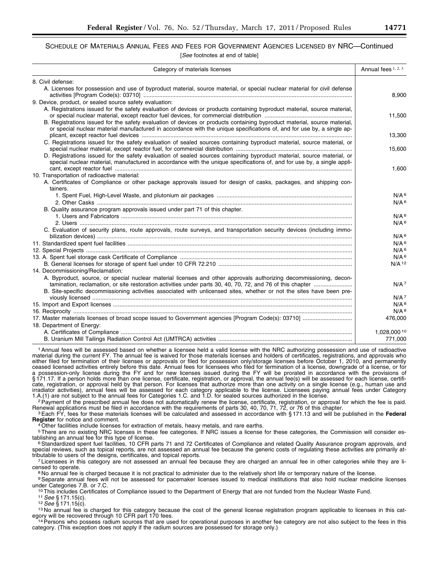## SCHEDULE OF MATERIALS ANNUAL FEES AND FEES FOR GOVERNMENT AGENCIES LICENSED BY NRC—Continued [*See* footnotes at end of table]

|  |  |  | See footnotes at end of table |  |  |  |  |
|--|--|--|-------------------------------|--|--|--|--|
|--|--|--|-------------------------------|--|--|--|--|

| Category of materials licenses                                                                                                                                                                                                                     | Annual fees 1, 2, 3 |
|----------------------------------------------------------------------------------------------------------------------------------------------------------------------------------------------------------------------------------------------------|---------------------|
| 8. Civil defense:                                                                                                                                                                                                                                  |                     |
| A. Licenses for possession and use of byproduct material, source material, or special nuclear material for civil defense                                                                                                                           | 8,900               |
| 9. Device, product, or sealed source safety evaluation:                                                                                                                                                                                            |                     |
| A. Registrations issued for the safety evaluation of devices or products containing byproduct material, source material,                                                                                                                           | 11,500              |
| B. Registrations issued for the safety evaluation of devices or products containing byproduct material, source material,<br>or special nuclear material manufactured in accordance with the unique specifications of, and for use by, a single ap- | 13,300              |
| C. Registrations issued for the safety evaluation of sealed sources containing byproduct material, source material, or                                                                                                                             | 15,600              |
| D. Registrations issued for the safety evaluation of sealed sources containing byproduct material, source material, or<br>special nuclear material, manufactured in accordance with the unique specifications of, and for use by, a single appli-  |                     |
| 10. Transportation of radioactive material:<br>A. Certificates of Compliance or other package approvals issued for design of casks, packages, and shipping con-<br>tainers.                                                                        | 1,600               |
|                                                                                                                                                                                                                                                    | N/A <sup>6</sup>    |
|                                                                                                                                                                                                                                                    | N/A <sup>6</sup>    |
| B. Quality assurance program approvals issued under part 71 of this chapter.                                                                                                                                                                       |                     |
|                                                                                                                                                                                                                                                    | N/A <sup>6</sup>    |
|                                                                                                                                                                                                                                                    | $N/A$ 6             |
| C. Evaluation of security plans, route approvals, route surveys, and transportation security devices (including immo-                                                                                                                              | N/A <sup>6</sup>    |
|                                                                                                                                                                                                                                                    | N/A <sup>6</sup>    |
|                                                                                                                                                                                                                                                    | N/A <sup>6</sup>    |
|                                                                                                                                                                                                                                                    | N/A <sup>6</sup>    |
|                                                                                                                                                                                                                                                    | $N/A$ 12            |
| 14. Decommissioning/Reclamation:                                                                                                                                                                                                                   |                     |
| A. Byproduct, source, or special nuclear material licenses and other approvals authorizing decommissioning, decon-                                                                                                                                 | N/A <sup>7</sup>    |
| B. Site-specific decommissioning activities associated with unlicensed sites, whether or not the sites have been pre-                                                                                                                              | N/A <sup>7</sup>    |
|                                                                                                                                                                                                                                                    | $N/A$ <sup>8</sup>  |
|                                                                                                                                                                                                                                                    | $N/A$ 8             |
|                                                                                                                                                                                                                                                    | 476,000             |
| 18. Department of Energy:                                                                                                                                                                                                                          |                     |
|                                                                                                                                                                                                                                                    | 1,028,000 10        |
|                                                                                                                                                                                                                                                    | 771.000             |

1Annual fees will be assessed based on whether a licensee held a valid license with the NRC authorizing possession and use of radioactive material during the current FY. The annual fee is waived for those materials licenses and holders of certificates, registrations, and approvals who either filed for termination of their licenses or approvals or filed for possession only/storage licenses before October 1, 2010, and permanently ceased licensed activities entirely before this date. Annual fees for licensees who filed for termination of a license, downgrade of a license, or for a possession-only license during the FY and for new licenses issued during the FY will be prorated in accordance with the provisions of § 171.17. If a person holds more than one license, certificate, registration, or approval, the annual fee(s) will be assessed for each license, certificate, registration, or approval held by that person. For licenses that authorize more than one activity on a single license (e.g., human use and Indiator activities), annual fees will be assessed for each category applicable to the license. Licensees paying annual fees under Category and 1.A.(1) are not subject to the annual fees will be assessed for each category

Payment of the prescribed annual fee does not automatically renew the license, certificate, registration, or approval for which the fee is paid.<br>Renewal applications must be filed in accordance with the requirements of par

<sup>3</sup> Each FY, fees for these materials licenses will be calculated and assessed in accordance with §171.13 and will be published in the Federal Register for notice and comment.

<sup>4</sup> Other facilities include licenses for extraction of metals, heavy metals, and rare earths.

<sup>5</sup>There are no existing NRC licenses in these fee categories. If NRC issues a license for these categories, the Commission will consider es-

tablishing an annual fee for this type of license.<br><sup>6</sup>Standardized spent fuel facilities, 10 CFR parts 71 and 72 Certificates of Compliance and related Quality Assurance program approvals, and special reviews, such as topical reports, are not assessed an annual fee because the generic costs of regulating these activities are primarily at-<br>tributable to users of the designs, certificates, and topical reports.

 $\frac{7}{2}$  Licensees in this category are not assessed an annual fee because they are charged an annual fee in other categories while they are licensed to operate.

<sup>8</sup>No annual fee is charged because it is not practical to administer due to the relatively short life or temporary nature of the license.<br><sup>9</sup> Separate annual fees will not be assessed for pacemaker licenses issued to medi

<sup>10</sup>This includes Certificates of Compliance issued to the Department of Energy that are not funded from the Nuclear Waste Fund.<br><sup>11</sup> See § 171.15(c).<br><sup>12</sup> See § 171.15(c).<br><sup>13</sup> No annual fee is charged for this category

<sup>14</sup> Persons who possess radium sources that are used for operational purposes in another fee category are not also subject to the fees in this category. (This exception does not apply if the radium sources are possessed for storage only.)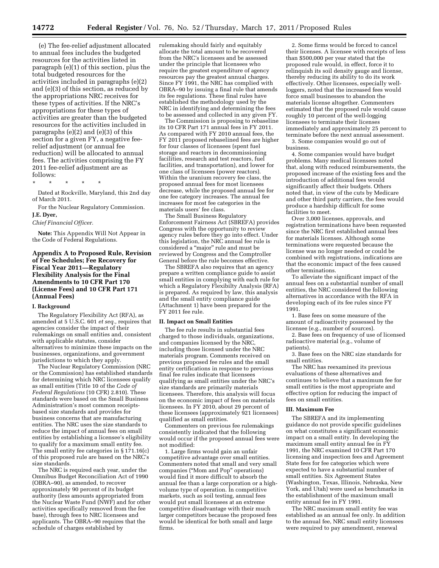(e) The fee-relief adjustment allocated to annual fees includes the budgeted resources for the activities listed in paragraph (e)(1) of this section, plus the total budgeted resources for the activities included in paragraphs (e)(2) and (e)(3) of this section, as reduced by the appropriations NRC receives for these types of activities. If the NRC's appropriations for these types of activities are greater than the budgeted resources for the activities included in paragraphs (e)(2) and (e)(3) of this section for a given FY, a negative feerelief adjustment (or annual fee reduction) will be allocated to annual fees. The activities comprising the FY 2011 fee-relief adjustment are as follows:

\* \* \* \* \*

Dated at Rockville, Maryland, this 2nd day of March 2011.

For the Nuclear Regulatory Commission. **J.E. Dyer,** 

*Chief Financial Officer.* 

**Note:** This Appendix Will Not Appear in the Code of Federal Regulations.

#### **Appendix A to Proposed Rule, Revision of Fee Schedules; Fee Recovery for Fiscal Year 2011—Regulatory Flexibility Analysis for the Final Amendments to 10 CFR Part 170 (License Fees) and 10 CFR Part 171 (Annual Fees)**

#### **I. Background**

The Regulatory Flexibility Act (RFA), as amended at 5 U.S.C. 601 *et seq.,* requires that agencies consider the impact of their rulemakings on small entities and, consistent with applicable statutes, consider alternatives to minimize these impacts on the businesses, organizations, and government jurisdictions to which they apply.

The Nuclear Regulatory Commission (NRC or the Commission) has established standards for determining which NRC licensees qualify as small entities (Title 10 of the *Code of Federal Regulations* (10 CFR) 2.810). These standards were based on the Small Business Administration's most common receiptsbased size standards and provides for business concerns that are manufacturing entities. The NRC uses the size standards to reduce the impact of annual fees on small entities by establishing a licensee's eligibility to qualify for a maximum small entity fee. The small entity fee categories in § 171.16(c) of this proposed rule are based on the NRC's size standards.

The NRC is required each year, under the Omnibus Budget Reconciliation Act of 1990 (OBRA–90), as amended, to recover approximately 90 percent of its budget authority (less amounts appropriated from the Nuclear Waste Fund (NWF) and for other activities specifically removed from the fee base), through fees to NRC licensees and applicants. The OBRA–90 requires that the schedule of charges established by

rulemaking should fairly and equitably allocate the total amount to be recovered from the NRC's licensees and be assessed under the principle that licensees who require the greatest expenditure of agency resources pay the greatest annual charges. Since FY 1991, the NRC has complied with OBRA–90 by issuing a final rule that amends its fee regulations. These final rules have established the methodology used by the NRC in identifying and determining the fees to be assessed and collected in any given FY.

The Commission is proposing to rebaseline its 10 CFR Part 171 annual fees in FY 2011. As compared with FY 2010 annual fees, the FY 2011 proposed rebaselined fees are higher for four classes of licensees (spent fuel storage and reactors in decommissioning facilities, research and test reactors, fuel facilities, and transportation), and lower for one class of licensees (power reactors). Within the uranium recovery fee class, the proposed annual fees for most licensees decrease, while the proposed annual fee for one fee category increases. The annual fee increases for most fee categories in the materials users' fee class.

The Small Business Regulatory Enforcement Fairness Act (SBREFA) provides Congress with the opportunity to review agency rules before they go into effect. Under this legislation, the NRC annual fee rule is considered a "major" rule and must be reviewed by Congress and the Comptroller General before the rule becomes effective.

The SBREFA also requires that an agency prepare a written compliance guide to assist small entities in complying with each rule for which a Regulatory Flexibilty Analysis (RFA) is prepared. As required by law, this analysis and the small entity compliance guide (Attachment 1) have been prepared for the FY 2011 fee rule.

#### **II. Impact on Small Entities**

The fee rule results in substantial fees charged to those individuals, organizations, and companies licensed by the NRC, including those licensed under the NRC materials program. Comments received on previous proposed fee rules and the small entity certifications in response to previous final fee rules indicate that licensees qualifying as small entities under the NRC's size standards are primarily materials licensees. Therefore, this analysis will focus on the economic impact of fees on materials licensees. In FY 2010, about 29 percent of these licensees (approximately 921 licensees) qualified as small entities.

Commenters on previous fee rulemakings consistently indicated that the following would occur if the proposed annual fees were not modified:

1. Large firms would gain an unfair competitive advantage over small entities. Commenters noted that small and very small companies (''Mom and Pop'' operations) would find it more difficult to absorb the annual fee than a large corporation or a highvolume type of operation. In competitive markets, such as soil testing, annual fees would put small licensees at an extreme competitive disadvantage with their much larger competitors because the proposed fees would be identical for both small and large firms.

2. Some firms would be forced to cancel their licenses. A licensee with receipts of less than \$500,000 per year stated that the proposed rule would, in effect, force it to relinquish its soil density gauge and license, thereby reducing its ability to do its work effectively. Other licensees, especially wellloggers, noted that the increased fees would force small businesses to abandon the materials license altogether. Commenters estimated that the proposed rule would cause roughly 10 percent of the well-logging licensees to terminate their licenses immediately and approximately 25 percent to terminate before the next annual assessment.

3. Some companies would go out of business.

4. Some companies would have budget problems. Many medical licensees noted that, along with reduced reimbursements, the proposed increase of the existing fees and the introduction of additional fees would significantly affect their budgets. Others noted that, in view of the cuts by Medicare and other third party carriers, the fees would produce a hardship difficult for some facilities to meet.

Over 3,000 licenses, approvals, and registration terminations have been requested since the NRC first established annual fees for materials licenses. Although some terminations were requested because the license was no longer needed or could be combined with registrations, indications are that the economic impact of the fees caused other terminations.

To alleviate the significant impact of the annual fees on a substantial number of small entities, the NRC considered the following alternatives in accordance with the RFA in developing each of its fee rules since FY 1991.

1. Base fees on some measure of the amount of radioactivity possessed by the licensee (e.g., number of sources).

2. Base fees on frequency of use of licensed radioactive material (e.g., volume of patients).

3. Base fees on the NRC size standards for small entities.

The NRC has reexamined its previous evaluations of these alternatives and continues to believe that a maximum fee for small entities is the most appropriate and effective option for reducing the impact of fees on small entities.

#### **III. Maximum Fee**

The SBREFA and its implementing guidance do not provide specific guidelines on what constitutes a significant economic impact on a small entity. In developing the maximum small entity annual fee in FY 1991, the NRC examined 10 CFR Part 170 licensing and inspection fees and Agreement State fees for fee categories which were expected to have a substantial number of small entities. Six Agreement States (Washington, Texas, Illinois, Nebraska, New York, and Utah) were used as benchmarks in the establishment of the maximum small entity annual fee in FY 1991.

The NRC maximum small entity fee was established as an annual fee only. In addition to the annual fee, NRC small entity licensees were required to pay amendment, renewal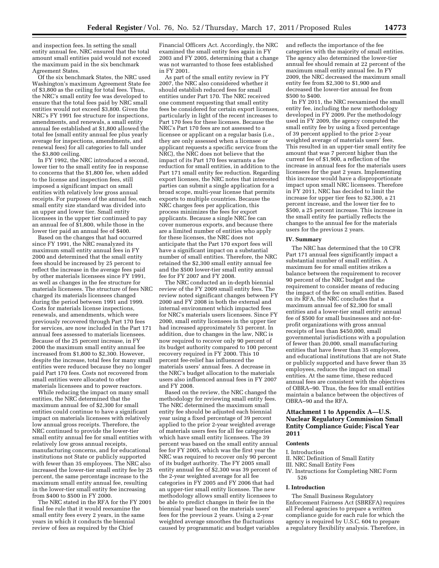and inspection fees. In setting the small entity annual fee, NRC ensured that the total amount small entities paid would not exceed the maximum paid in the six benchmark Agreement States.

Of the six benchmark States, the NRC used Washington's maximum Agreement State fee of \$3,800 as the ceiling for total fees. Thus, the NRC's small entity fee was developed to ensure that the total fees paid by NRC small entities would not exceed \$3,800. Given the NRC's FY 1991 fee structure for inspections, amendments, and renewals, a small entity annual fee established at \$1,800 allowed the total fee (small entity annual fee plus yearly average for inspections, amendments, and renewal fees) for all categories to fall under the \$3,800 ceiling.

In FY 1992, the NRC introduced a second, lower tier to the small entity fee in response to concerns that the \$1,800 fee, when added to the license and inspection fees, still imposed a significant impact on small entities with relatively low gross annual receipts. For purposes of the annual fee, each small entity size standard was divided into an upper and lower tier. Small entity licensees in the upper tier continued to pay an annual fee of \$1,800, while those in the lower tier paid an annual fee of \$400.

Based on the changes that had occurred since FY 1991, the NRC reanalyzed its maximum small entity annual fees in FY 2000 and determined that the small entity fees should be increased by 25 percent to reflect the increase in the average fees paid by other materials licensees since FY 1991, as well as changes in the fee structure for materials licensees. The structure of fees NRC charged its materials licensees changed during the period between 1991 and 1999. Costs for materials license inspections, renewals, and amendments, which were previously recovered through Part 170 fees for services, are now included in the Part 171 annual fees assessed to materials licensees. Because of the 25 percent increase, in FY 2000 the maximum small entity annual fee increased from \$1,800 to \$2,300. However, despite the increase, total fees for many small entities were reduced because they no longer paid Part 170 fees. Costs not recovered from small entities were allocated to other materials licensees and to power reactors.

While reducing the impact on many small entities, the NRC determined that the maximum annual fee of \$2,300 for small entities could continue to have a significant impact on materials licensees with relatively low annual gross receipts. Therefore, the NRC continued to provide the lower-tier small entity annual fee for small entities with relatively low gross annual receipts, manufacturing concerns, and for educational institutions not State or publicly supported with fewer than 35 employees. The NRC also increased the lower-tier small entity fee by 25 percent, the same percentage increase to the maximum small entity annual fee, resulting in the lower-tier small entity fee increasing from \$400 to \$500 in FY 2000.

The NRC stated in the RFA for the FY 2001 final fee rule that it would reexamine the small entity fees every 2 years, in the same years in which it conducts the biennial review of fees as required by the Chief

Financial Officers Act. Accordingly, the NRC examined the small entity fees again in FY 2003 and FY 2005, determining that a change was not warranted to those fees established in FY 2001.

As part of the small entity review in FY 2007, the NRC also considered whether it should establish reduced fees for small entities under Part 170. The NRC received one comment requesting that small entity fees be considered for certain export licenses, particularly in light of the recent increases to Part 170 fees for these licenses. Because the NRC's Part 170 fees are not assessed to a licensee or applicant on a regular basis (i.e., they are only assessed when a licensee or applicant requests a specific service from the NRC), the NRC does not believe that the impact of its Part 170 fees warrants a fee reduction for small entities, in addition to the Part 171 small entity fee reduction. Regarding export licenses, the NRC notes that interested parties can submit a single application for a broad scope, multi-year license that permits exports to multiple countries. Because the NRC charges fees per application, this process minimizes the fees for export applicants. Because a single NRC fee can cover numerous exports, and because there are a limited number of entities who apply for these licenses, the NRC does not anticipate that the Part 170 export fees will have a significant impact on a substantial number of small entities. Therefore, the NRC retained the \$2,300 small entity annual fee and the \$500 lower-tier small entity annual fee for FY 2007 and FY 2008.

The NRC conducted an in-depth biennial review of the FY 2009 small entity fees. The review noted significant changes between FY 2000 and FY 2008 in both the external and internal environment which impacted fees for NRC's materials users licensees. Since FY 2000, small entity licensees in the upper tier had increased approximately 53 percent. In addition, due to changes in the law, NRC is now required to recover only 90 percent of its budget authority compared to 100 percent recovery required in FY 2000. This 10 percent fee-relief has influenced the materials users' annual fees. A decrease in the NRC's budget allocation to the materials users also influenced annual fees in FY 2007 and FY 2008.

Based on the review, the NRC changed the methodology for reviewing small entity fees. The NRC determined the maximum small entity fee should be adjusted each biennial year using a fixed percentage of 39 percent applied to the prior 2-year weighted average of materials users fees for all fee categories which have small entity licensees. The 39 percent was based on the small entity annual fee for FY 2005, which was the first year the NRC was required to recover only 90 percent of its budget authority. The FY 2005 small entity annual fee of \$2,300 was 39 percent of the 2-year weighted average for all fee categories in FY 2005 and FY 2006 that had an upper-tier small entity licensee. The new methodology allows small entity licensees to be able to predict changes in their fee in the biennial year based on the materials users' fees for the previous 2 years. Using a 2-year weighted average smoothes the fluctuations caused by programmatic and budget variables and reflects the importance of the fee categories with the majority of small entities. The agency also determined the lower-tier annual fee should remain at 22 percent of the maximum small entity annual fee. In FY 2009, the NRC decreased the maximum small entity fee from \$2,300 to \$1,900 and decreased the lower-tier annual fee from \$500 to \$400.

In FY 2011, the NRC reexamined the small entity fee, including the new methodology developed in FY 2009. Per the methodology used in FY 2009, the agency computed the small entity fee by using a fixed percentage of 39 percent applied to the prior 2-year weighted average of materials users' fees. This resulted in an upper-tier small entity fee amount that was 7 percent higher than the current fee of \$1,900, a reflection of the increase in annual fees for the materials users licensees for the past 2 years. Implementing this increase would have a disproportionate impact upon small NRC licensees. Therefore in FY 2011, NRC has decided to limit the increase for upper tier fees to \$2,300, a 21 percent increase, and the lower tier fee to \$500, a 25 percent increase. This increase in the small entity fee partially reflects the changes to the annual fee for the materials users for the previous 2 years.

#### **IV. Summary**

The NRC has determined that the 10 CFR Part 171 annual fees significantly impact a substantial number of small entities. A maximum fee for small entities strikes a balance between the requirement to recover 90 percent of the NRC budget and the requirement to consider means of reducing the impact of the fee on small entities. Based on its RFA, the NRC concludes that a maximum annual fee of \$2,300 for small entities and a lower-tier small entity annual fee of \$500 for small businesses and not-forprofit organizations with gross annual receipts of less than \$450,000, small governmental jurisdictions with a population of fewer than 20,000, small manufacturing entities that have fewer than 35 employees, and educational institutions that are not State or publicly supported and have fewer than 35 employees, reduces the impact on small entities. At the same time, these reduced annual fees are consistent with the objectives of OBRA–90. Thus, the fees for small entities maintain a balance between the objectives of OBRA–90 and the RFA.

#### **Attachment 1 to Appendix A—U.S. Nuclear Regulatory Commission Small Entity Compliance Guide; Fiscal Year 2011**

#### **Contents**

#### I. Introduction

- II. NRC Definition of Small Entity
- III. NRC Small Entity Fees
- IV. Instructions for Completing NRC Form 526

#### **I. Introduction**

The Small Business Regulatory Enforcement Fairness Act (SBREFA) requires all Federal agencies to prepare a written compliance guide for each rule for which the agency is required by U.S.C. 604 to prepare a regulatory flexibility analysis. Therefore, in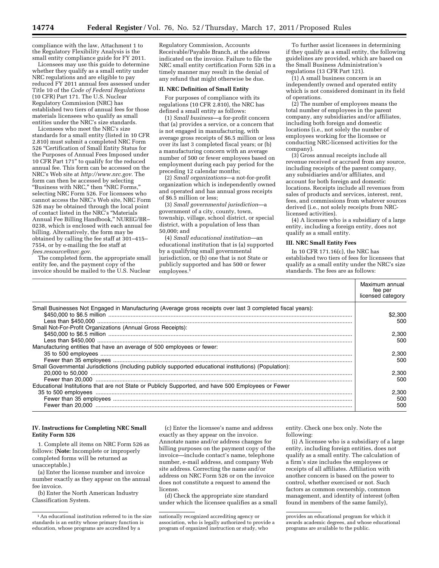compliance with the law, Attachment 1 to the Regulatory Flexibility Analysis is the small entity compliance guide for FY 2011.

Licensees may use this guide to determine whether they qualify as a small entity under NRC regulations and are eligible to pay reduced FY 2011 annual fees assessed under Title 10 of the *Code of Federal Regulations*  (10 CFR) Part 171. The U.S. Nuclear Regulatory Commission (NRC) has established two tiers of annual fees for those materials licensees who qualify as small entities under the NRC's size standards.

Licensees who meet the NRC's size standards for a small entity (listed in 10 CFR 2.810) must submit a completed NRC Form 526 ''Certification of Small Entity Status for the Purposes of Annual Fees Imposed under 10 CFR Part 171'' to qualify for the reduced annual fee. This form can be accessed on the NRC's Web site at *[http://www.nrc.gov.](http://www.nrc.gov)* The form can then be accessed by selecting ''Business with NRC,'' then ''NRC Forms,'' selecting NRC Form 526. For licensees who cannot access the NRC's Web site, NRC Form 526 may be obtained through the local point of contact listed in the NRC's ''Materials Annual Fee Billing Handbook,'' NUREG/BR– 0238, which is enclosed with each annual fee billing. Alternatively, the form may be obtained by calling the fee staff at 301–415– 7554, or by e-mailing the fee staff at *[fees.resource@nrc.gov.](mailto:fees.resource@nrc.gov)* 

The completed form, the appropriate small entity fee, and the payment copy of the invoice should be mailed to the U.S. Nuclear

Regulatory Commission, Accounts Receivable/Payable Branch, at the address indicated on the invoice. Failure to file the NRC small entity certification Form 526 in a timely manner may result in the denial of any refund that might otherwise be due.

#### **II. NRC Definition of Small Entity**

For purposes of compliance with its regulations (10 CFR 2.810), the NRC has defined a small entity as follows:

(1) *Small business*—a for-profit concern that (a) provides a service, or a concern that is not engaged in manufacturing, with average gross receipts of \$6.5 million or less over its last 3 completed fiscal years; or (b) a manufacturing concern with an average number of 500 or fewer employees based on employment during each pay period for the preceding 12 calendar months;

(2) *Small organizations*—a not-for-profit organization which is independently owned and operated and has annual gross receipts of \$6.5 million or less;

(3) *Small governmental jurisdiction*—a government of a city, county, town, township, village, school district, or special district, with a population of less than 50,000; and

(4) *Small educational institution*—an educational institution that is (a) supported by a qualifying small governmental jurisdiction, or (b) one that is not State or publicly supported and has 500 or fewer  $emplovees.<sup>1</sup>$ 

To further assist licensees in determining if they qualify as a small entity, the following guidelines are provided, which are based on the Small Business Administration's regulations (13 CFR Part 121).

(1) A small business concern is an independently owned and operated entity which is not considered dominant in its field of operations.

(2) The number of employees means the total number of employees in the parent company, any subsidiaries and/or affiliates, including both foreign and domestic locations (i.e., not solely the number of employees working for the licensee or conducting NRC-licensed activities for the company).

(3) Gross annual receipts include all revenue received or accrued from any source, including receipts of the parent company, any subsidiaries and/or affiliates, and account for both foreign and domestic locations. Receipts include all revenues from sales of products and services, interest, rent, fees, and commissions from whatever sources derived (i.e., not solely receipts from NRClicensed activities).

(4) A licensee who is a subsidiary of a large entity, including a foreign entity, does not qualify as a small entity.

#### **III. NRC Small Entity Fees**

In 10 CFR 171.16(c), the NRC has established two tiers of fees for licensees that qualify as a small entity under the NRC's size standards. The fees are as follows:

|                                                                                                            | Maximum annual<br>fee per<br>licensed category |
|------------------------------------------------------------------------------------------------------------|------------------------------------------------|
| Small Businesses Not Engaged in Manufacturing (Average gross receipts over last 3 completed fiscal years): | \$2,300                                        |
| Small Not-For-Profit Organizations (Annual Gross Receipts):                                                | 500                                            |
|                                                                                                            | 2.300<br>500                                   |
| Manufacturing entities that have an average of 500 employees or fewer:                                     | 2.300<br>500                                   |
| Small Governmental Jurisdictions (Including publicly supported educational institutions) (Population):     | 2.300                                          |
| Educational Institutions that are not State or Publicly Supported, and have 500 Employees or Fewer         | 500                                            |
|                                                                                                            | 2.300<br>500<br>500                            |

#### **IV. Instructions for Completing NRC Small Entity Form 526**

1. Complete all items on NRC Form 526 as follows: (**Note:** Incomplete or improperly completed forms will be returned as unacceptable.)

(a) Enter the license number and invoice number exactly as they appear on the annual fee invoice.

(b) Enter the North American Industry Classification System.

(c) Enter the licensee's name and address exactly as they appear on the invoice. Annotate name and/or address changes for billing purposes on the payment copy of the invoice—include contact's name, telephone number, e-mail address, and company Web site address. Correcting the name and/or address on NRC Form 526 or on the invoice does not constitute a request to amend the license.

(d) Check the appropriate size standard under which the licensee qualifies as a small

entity. Check one box only. Note the following:

(i) A licensee who is a subsidiary of a large entity, including foreign entities, does not qualify as a small entity. The calculation of a firm's size includes the employees or receipts of all affiliates. Affiliation with another concern is based on the power to control, whether exercised or not. Such factors as common ownership, common management, and identity of interest (often found in members of the same family),

<sup>1</sup>An educational institution referred to in the size standards is an entity whose primary function is education, whose programs are accredited by a

nationally recognized accrediting agency or association, who is legally authorized to provide a program of organized instruction or study, who

provides an educational program for which it awards academic degrees, and whose educational programs are available to the public.